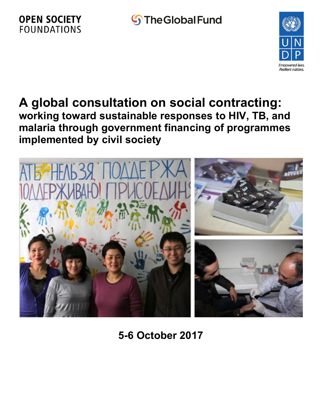# **S**The Global Fund

# **OPEN SOCIETY FOUNDATIONS**



# **A global consultation on social contracting: working toward sustainable responses to HIV, TB, and malaria through government financing of programmes implemented by civil society**



**5-6 October 2017**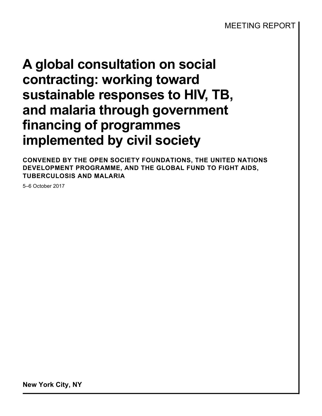**CONVENED BY THE OPEN SOCIETY FOUNDATIONS, THE UNITED NATIONS DEVELOPMENT PROGRAMME, AND THE GLOBAL FUND TO FIGHT AIDS, TUBERCULOSIS AND MALARIA**

5–6 October 2017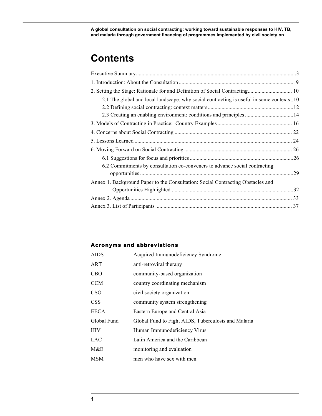# **Contents**

| 2.1 The global and local landscape: why social contracting is useful in some contexts10 |     |
|-----------------------------------------------------------------------------------------|-----|
|                                                                                         |     |
|                                                                                         |     |
|                                                                                         |     |
|                                                                                         |     |
|                                                                                         |     |
|                                                                                         |     |
|                                                                                         |     |
| 6.2 Commitments by consultation co-conveners to advance social contracting              | .29 |
| Annex 1. Background Paper to the Consultation: Social Contracting Obstacles and         |     |
|                                                                                         |     |
|                                                                                         |     |
|                                                                                         |     |

### **Acronyms and abbreviations**

| <b>AIDS</b> | Acquired Immunodeficiency Syndrome                  |
|-------------|-----------------------------------------------------|
| ART         | anti-retroviral therapy                             |
| <b>CBO</b>  | community-based organization                        |
| <b>CCM</b>  | country coordinating mechanism                      |
| <b>CSO</b>  | civil society organization                          |
| <b>CSS</b>  | community system strengthening                      |
| <b>EECA</b> | Eastern Europe and Central Asia                     |
| Global Fund | Global Fund to Fight AIDS, Tuberculosis and Malaria |
| <b>HIV</b>  | Human Immunodeficiency Virus                        |
| <b>LAC</b>  | Latin America and the Caribbean                     |
| M&E         | monitoring and evaluation                           |
| <b>MSM</b>  | men who have sex with men                           |
|             |                                                     |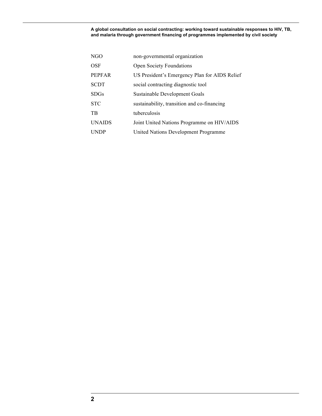| NGO           | non-governmental organization                 |
|---------------|-----------------------------------------------|
| <b>OSF</b>    | <b>Open Society Foundations</b>               |
| <b>PEPFAR</b> | US President's Emergency Plan for AIDS Relief |
| <b>SCDT</b>   | social contracting diagnostic tool            |
| <b>SDGs</b>   | Sustainable Development Goals                 |
| <b>STC</b>    | sustainability, transition and co-financing   |
| TB            | tuberculosis                                  |
| <b>UNAIDS</b> | Joint United Nations Programme on HIV/AIDS    |
| <b>UNDP</b>   | United Nations Development Programme          |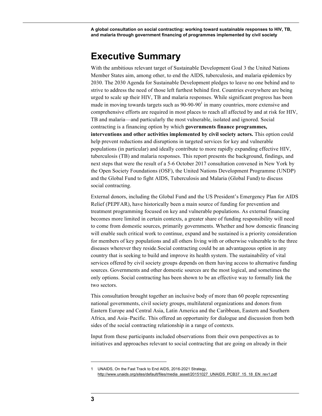# **Executive Summary**

With the ambitious relevant target of Sustainable Development Goal 3 the United Nations Member States aim, among other, to end the AIDS, tuberculosis, and malaria epidemics by 2030. The 2030 Agenda for Sustainable Development pledges to leave no one behind and to strive to address the need of those left furthest behind first. Countries everywhere are being urged to scale up their HIV, TB and malaria responses. While significant progress has been made in moving towards targets such as  $90-90-90<sup>1</sup>$  in many countries, more extensive and comprehensive efforts are required in most places to reach all affected by and at risk for HIV, TB and malaria—and particularly the most vulnerable, isolated and ignored. Social contracting is a financing option by which **governments finance programmes, interventions and other activities implemented by civil society actors.** This option could help prevent reductions and disruptions in targeted services for key and vulnerable populations (in particular) and ideally contribute to more rapidly expanding effective HIV, tuberculosis (TB) and malaria responses. This report presents the background, findings, and next steps that were the result of a 5-6 October 2017 consultation convened in New York by the Open Society Foundations (OSF), the United Nations Development Programme (UNDP) and the Global Fund to fight AIDS, Tuberculosis and Malaria (Global Fund) to discuss social contracting.

External donors, including the Global Fund and the US President's Emergency Plan for AIDS Relief (PEPFAR), have historically been a main source of funding for prevention and treatment programming focused on key and vulnerable populations. As external financing becomes more limited in certain contexts, a greater share of funding responsibility will need to come from domestic sources, primarily governments. Whether and how domestic financing will enable such critical work to continue, expand and be sustained is a priority consideration for members of key populations and all others living with or otherwise vulnerable to the three diseases wherever they reside.Social contracting could be an advantageous option in any country that is seeking to build and improve its health system. The sustainability of vital services offered by civil society groups depends on them having access to alternative funding sources. Governments and other domestic sources are the most logical, and sometimes the only options. Social contracting has been shown to be an effective way to formally link the two sectors.

This consultation brought together an inclusive body of more than 60 people representing national governments, civil society groups, multilateral organizations and donors from Eastern Europe and Central Asia, Latin America and the Caribbean, Eastern and Southern Africa, and Asia–Pacific. This offered an opportunity for dialogue and discussion from both sides of the social contracting relationship in a range of contexts.

Input from these participants included observations from their own perspectives as to initiatives and approaches relevant to social contracting that are going on already in their

<sup>1</sup> UNAIDS, On the Fast Track to End AIDS, 2016-2021 Strategy, http://www.unaids.org/sites/default/files/media\_asset/20151027\_UNAIDS\_PCB37\_15\_18\_EN\_rev1.pdf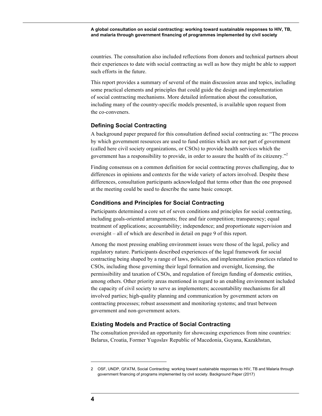countries. The consultation also included reflections from donors and technical partners about their experiences to date with social contracting as well as how they might be able to support such efforts in the future.

This report provides a summary of several of the main discussion areas and topics, including some practical elements and principles that could guide the design and implementation of social contracting mechanisms. More detailed information about the consultation, including many of the country-specific models presented, is available upon request from the co-conveners.

#### **Defining Social Contracting**

A background paper prepared for this consultation defined social contracting as: "The process by which government resources are used to fund entities which are not part of government (called here civil society organizations, or CSOs) to provide health services which the government has a responsibility to provide, in order to assure the health of its citizenry."<sup>2</sup>

Finding consensus on a common definition for social contracting proves challenging, due to differences in opinions and contexts for the wide variety of actors involved. Despite these differences, consultation participants acknowledged that terms other than the one proposed at the meeting could be used to describe the same basic concept.

#### **Conditions and Principles for Social Contracting**

Participants determined a core set of seven conditions and principles for social contracting, including goals-oriented arrangements; free and fair competition; transparency; equal treatment of applications; accountability; independence; and proportionate supervision and oversight – all of which are described in detail on page 9 of this report.

Among the most pressing enabling environment issues were those of the legal, policy and regulatory nature. Participants described experiences of the legal framework for social contracting being shaped by a range of laws, policies, and implementation practices related to CSOs, including those governing their legal formation and oversight, licensing, the permissibility and taxation of CSOs, and regulation of foreign funding of domestic entities, among others. Other priority areas mentioned in regard to an enabling environment included the capacity of civil society to serve as implementers; accountability mechanisms for all involved parties; high-quality planning and communication by government actors on contracting processes; robust assessment and monitoring systems; and trust between government and non-government actors.

#### **Existing Models and Practice of Social Contracting**

The consultation provided an opportunity for showcasing experiences from nine countries: Belarus, Croatia, Former Yugoslav Republic of Macedonia, Guyana, Kazakhstan,

<sup>2</sup> OSF, UNDP, GFATM, Social Contracting: working toward sustainable responses to HIV, TB and Malaria through government financing of programs implemented by civil society. Background Paper (2017)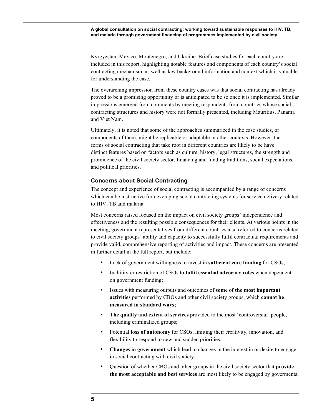Kyrgyzstan, Mexico, Montenegro, and Ukraine. Brief case studies for each country are included in this report, highlighting notable features and components of each country's social contracting mechanism, as well as key background information and context which is valuable for understanding the case.

The overarching impression from these country cases was that social contracting has already proved to be a promising opportunity or is anticipated to be so once it is implemented. Similar impressions emerged from comments by meeting respondents from countries whose social contracting structures and history were not formally presented, including Mauritius, Panama and Viet Nam.

Ultimately, it is noted that some of the approaches summarized in the case studies, or components of them, might be replicable or adaptable in other contexts. However, the forms of social contracting that take root in different countries are likely to be have distinct features based on factors such as culture, history, legal structures, the strength and prominence of the civil society sector, financing and funding traditions, social expectations, and political priorities.

#### **Concerns about Social Contracting**

The concept and experience of social contracting is accompanied by a range of concerns which can be instructive for developing social contracting systems for service delivery related to HIV, TB and malaria.

Most concerns raised focused on the impact on civil society groups' independence and effectiveness and the resulting possible consequences for their clients. At various points in the meeting, government representatives from different countries also referred to concerns related to civil society groups' ability and capacity to successfully fulfil contractual requirements and provide valid, comprehensive reporting of activities and impact. These concerns are presented in further detail in the full report, but include:

- Lack of government willingness to invest in **sufficient core funding** for CSOs;
- Inability or restriction of CSOs to **fulfil essential advocacy roles** when dependent on government funding;
- Issues with measuring outputs and outcomes of **some of the most important activities** performed by CBOs and other civil society groups, which **cannot be measured in standard ways;**
- **The quality and extent of services** provided to the most 'controversial' people, including criminalized groups;
- Potential **loss of autonomy** for CSOs, limiting their creativity, innovation, and flexibility to respond to new and sudden priorities;
- **Changes in government** which lead to changes in the interest in or desire to engage in social contracting with civil society;
- Question of whether CBOs and other groups in the civil society sector that **provide the most acceptable and best services** are most likely to be engaged by goverments;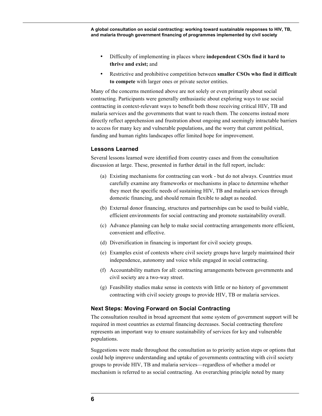- Difficulty of implementing in places where **independent CSOs find it hard to thrive and exist;** and
- Restrictive and prohibitive competition between **smaller CSOs who find it difficult to compete** with larger ones or private sector entities.

Many of the concerns mentioned above are not solely or even primarily about social contracting. Participants were generally enthusiastic about exploring ways to use social contracting in context-relevant ways to benefit both those receiving critical HIV, TB and malaria services and the governments that want to reach them. The concerns instead more directly reflect apprehension and frustration about ongoing and seemingly intractable barriers to access for many key and vulnerable populations, and the worry that current political, funding and human rights landscapes offer limited hope for improvement.

#### **Lessons Learned**

Several lessons learned were identified from country cases and from the consultation discussion at large. These, presented in further detail in the full report, include:

- (a) Existing mechanisms for contracting can work but do not always. Countries must carefully examine any frameworks or mechanisms in place to determine whether they meet the specific needs of sustaining HIV, TB and malaria services through domestic financing, and should remain flexible to adapt as needed.
- (b) External donor financing, structures and partnerships can be used to build viable, efficient environments for social contracting and promote sustainability overall.
- (c) Advance planning can help to make social contracting arrangements more efficient, convenient and effective.
- (d) Diversification in financing is important for civil society groups.
- (e) Examples exist of contexts where civil society groups have largely maintained their independence, autonomy and voice while engaged in social contracting.
- (f) Accountability matters for all: contracting arrangements between governments and civil society are a two-way street.
- (g) Feasibility studies make sense in contexts with little or no history of government contracting with civil society groups to provide HIV, TB or malaria services.

#### **Next Steps: Moving Forward on Social Contracting**

The consultation resulted in broad agreement that some system of government support will be required in most countries as external financing decreases. Social contracting therefore represents an important way to ensure sustainability of services for key and vulnerable populations.

Suggestions were made throughout the consultation as to priority action steps or options that could help improve understanding and uptake of governments contracting with civil society groups to provide HIV, TB and malaria services—regardless of whether a model or mechanism is referred to as social contracting. An overarching principle noted by many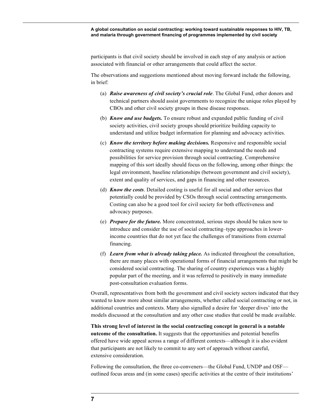participants is that civil society should be involved in each step of any analysis or action associated with financial or other arrangements that could affect the sector.

The observations and suggestions mentioned about moving forward include the following, in brief:

- (a) *Raise awareness of civil society's crucial role*. The Global Fund, other donors and technical partners should assist governments to recognize the unique roles played by CBOs and other civil society groups in these disease responses.
- (b) *Know and use budgets.* To ensure robust and expanded public funding of civil society activities, civil society groups should prioritize building capacity to understand and utilize budget information for planning and advocacy activities.
- (c) *Know the territory before making decisions.* Responsive and responsible social contracting systems require extensive mapping to understand the needs and possibilities for service provision through social contracting. Comprehensive mapping of this sort ideally should focus on the following, among other things: the legal environment, baseline relationships (between government and civil society), extent and quality of services, and gaps in financing and other resources.
- (d) *Know the costs*. Detailed costing is useful for all social and other services that potentially could be provided by CSOs through social contracting arrangements. Costing can also be a good tool for civil society for both effectiveness and advocacy purposes.
- (e) *Prepare for the future.* More concentrated, serious steps should be taken now to introduce and consider the use of social contracting–type approaches in lowerincome countries that do not yet face the challenges of transitions from external financing.
- (f) *Learn from what is already taking place.* As indicated throughout the consultation, there are many places with operational forms of financial arrangements that might be considered social contracting. The sharing of country experiences was a highly popular part of the meeting, and it was referred to positively in many immediate post-consultation evaluation forms.

Overall, representatives from both the government and civil society sectors indicated that they wanted to know more about similar arrangements, whether called social contracting or not, in additional countries and contexts. Many also signalled a desire for 'deeper dives' into the models discussed at the consultation and any other case studies that could be made available.

**This strong level of interest in the social contracting concept in general is a notable outcome of the consultation.** It suggests that the opportunities and potential benefits offered have wide appeal across a range of different contexts—although it is also evident that participants are not likely to commit to any sort of approach without careful, extensive consideration.

Following the consultation, the three co-conveners—the Global Fund, UNDP and OSF outlined focus areas and (in some cases) specific activities at the centre of their institutions'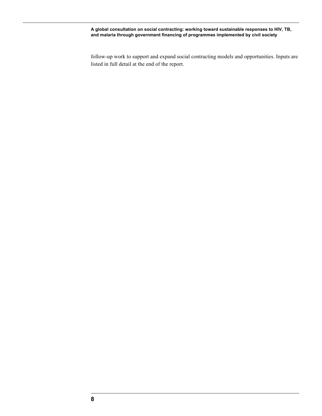follow-up work to support and expand social contracting models and opportunities. Inputs are listed in full detail at the end of the report.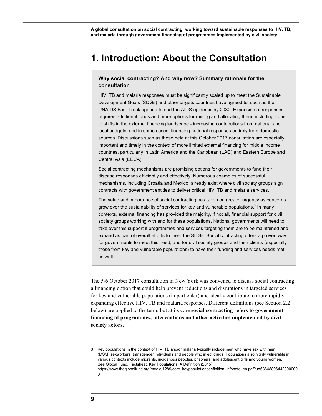# **1. Introduction: About the Consultation**

#### **Why social contracting? And why now? Summary rationale for the consultation**

HIV, TB and malaria responses must be significantly scaled up to meet the Sustainable Development Goals (SDGs) and other targets countries have agreed to, such as the UNAIDS Fast-Track agenda to end the AIDS epidemic by 2030. Expansion of responses requires additional funds and more options for raising and allocating them, including - due to shifts in the external financing landscape - increasing contributions from national and local budgets, and in some cases, financing national responses entirely from domestic sources. Discussions such as those held at this October 2017 consultation are especially important and timely in the context of more limited external financing for middle income countries, particularly in Latin America and the Caribbean (LAC) and Eastern Europe and Central Asia (EECA).

Social contracting mechanisms are promising options for governments to fund their disease responses efficiently and effectively. Numerous examples of successful mechanisms, including Croatia and Mexico, already exist where civil society groups sign contracts with government entities to deliver critical HIV, TB and malaria services.

The value and importance of social contracting has taken on greater urgency as concerns grow over the sustainability of services for key and vulnerable populations.<sup>3</sup> In many contexts, external financing has provided the majority, if not all, financial support for civil society groups working with and for these populations. National governments will need to take over this support if programmes and services targeting them are to be maintained and expand as part of overall efforts to meet the SDGs. Social contracting offers a proven way for governments to meet this need, and for civil society groups and their clients (especially those from key and vulnerable populations) to have their funding and services needs met as well.

The 5-6 October 2017 consultation in New York was convened to discuss social contracting, a financing option that could help prevent reductions and disruptions in targeted services for key and vulnerable populations (in particular) and ideally contribute to more rapidly expanding effective HIV, TB and malaria responses. Different definitions (see Section 2.2 below) are applied to the term, but at its core **social contracting refers to government financing of programmes, interventions and other activities implemented by civil society actors.**

<sup>3</sup> Key populations in the context of HIV, TB and/or malaria typically include men who have sex with men (MSM),sexworkers, transgender individuals and people who inject drugs. Populations also highly vulnerable in various contexts include migrants, indigenous peoples, prisoners, and adolescent girls and young women. See Global Fund, Factsheet, Key Populations: A Definition (2015) https://www.theglobalfund.org/media/1289/core\_keypopulationsdefinition\_infonote\_en.pdf?u=63648896442000000 0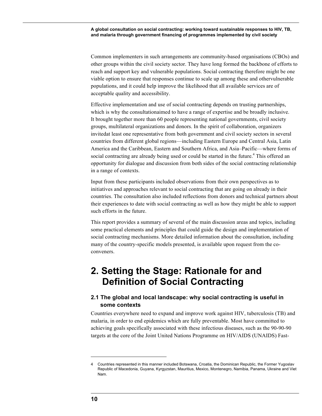Common implementers in such arrangements are community-based organisations (CBOs) and other groups within the civil society sector. They have long formed the backbone of efforts to reach and support key and vulnerable populations. Social contracting therefore might be one viable option to ensure that responses continue to scale up among these and othervulnerable populations, and it could help improve the likelihood that all available services are of acceptable quality and accessibility.

Effective implementation and use of social contracting depends on trusting partnerships, which is why the consultationaimed to have a range of expertise and be broadly inclusive. It brought together more than 60 people representing national governments, civil society groups, multilateral organizations and donors. In the spirit of collaboration, organizers invitedat least one representative from both government and civil society sectors in several countries from different global regions—including Eastern Europe and Central Asia, Latin America and the Caribbean, Eastern and Southern Africa, and Asia–Pacific—where forms of social contracting are already being used or could be started in the future.<sup>4</sup> This offered an opportunity for dialogue and discussion from both sides of the social contracting relationship in a range of contexts.

Input from these participants included observations from their own perspectives as to initiatives and approaches relevant to social contracting that are going on already in their countries. The consultation also included reflections from donors and technical partners about their experiences to date with social contracting as well as how they might be able to support such efforts in the future.

This report provides a summary of several of the main discussion areas and topics, including some practical elements and principles that could guide the design and implementation of social contracting mechanisms. More detailed information about the consultation, including many of the country-specific models presented, is available upon request from the coconveners.

# **2. Setting the Stage: Rationale for and Definition of Social Contracting**

### **2.1 The global and local landscape: why social contracting is useful in some contexts**

Countries everywhere need to expand and improve work against HIV, tuberculosis (TB) and malaria, in order to end epidemics which are fully preventable. Most have committed to achieving goals specifically associated with these infectious diseases, such as the 90-90-90 targets at the core of the Joint United Nations Programme on HIV/AIDS (UNAIDS) Fast-

<sup>4</sup> Countries represented in this manner included Botswana, Croatia, the Dominican Republic, the Former Yugoslav Republic of Macedonia, Guyana, Kyrgyzstan, Mauritius, Mexico, Montenegro, Namibia, Panama, Ukraine and Viet Nam.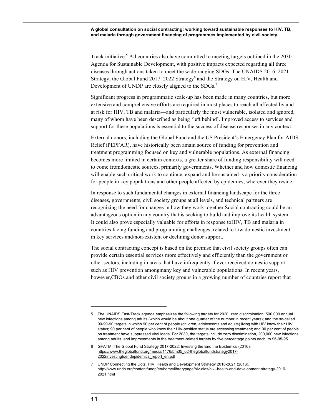Track initiative.<sup>5</sup> All countries also have committed to meeting targets outlined in the 2030 Agenda for Sustainable Development, with positive impacts expected regarding all three diseases through actions taken to meet the wide-ranging SDGs. The UNAIDS 2016–2021 Strategy, the Global Fund  $2017-2022$  Strategy<sup>6</sup> and the Strategy on HIV, Health and Development of UNDP are closely aligned to the SDGs.<sup>7</sup>

Significant progress in programmatic scale-up has been made in many countries, but more extensive and comprehensive efforts are required in most places to reach all affected by and at risk for HIV, TB and malaria—and particularly the most vulnerable, isolated and ignored, many of whom have been described as being 'left behind'. Improved access to services and support for these populations is essential to the success of disease responses in any context.

External donors, including the Global Fund and the US President's Emergency Plan for AIDS Relief (PEPFAR), have historically been amain source of funding for prevention and treatment programming focused on key and vulnerable populations. As external financing becomes more limited in certain contexts, a greater share of funding responsibility will need to come fromdomestic sources, primarily governments. Whether and how domestic financing will enable such critical work to continue, expand and be sustained is a priority consideration for people in key populations and other people affected by epidemics, wherever they reside.

In response to such fundamental changes in external financing landscape for the three diseases, governments, civil society groups at all levels, and technical partners are recognizing the need for changes in how they work together.Social contracting could be an advantageous option in any country that is seeking to build and improve its health system. It could also prove especially valuable for efforts in response toHIV, TB and malaria in countries facing funding and programming challenges, related to low domestic investment in key services and/non-existent or declining donor support.

The social contracting concept is based on the premise that civil society groups often can provide certain essential services more effectively and efficiently than the government or other sectors, including in areas that have infrequently if ever received domestic support such as HIV prevention amongmany key and vulnerable populations. In recent years, however,CBOs and other civil society groups in a growing number of countries report that

<sup>5</sup> The UNAIDS Fast-Track agenda emphasizes the following targets for 2020: zero discrimination; 500,000 annual new infections among adults (which would be about one quarter of the number in recent years); and the so-called 90-90-90 targets in which 90 per cent of people (children, adolescents and adults) living with HIV know their HIV status; 90 per cent of people who know their HIV-positive status are accessing treatment; and 90 per cent of people on treatment have suppressed viral loads. For 2030, the targets include zero discrimination, 200,000 new infections among adults, and improvements in the treatment-related targets by five percentage points each, to 95-95-95.

<sup>6</sup> GFATM, The Global Fund Strategy 2017-2022: Investing the End the Epidemics (2016), https://www.theglobalfund.org/media/1176/bm35\_02-theglobalfundstrategy2017- 2022investingtoendepidemics\_report\_en.pdf

<sup>7</sup> UNDP Connecting the Dots, HIV, Health and Development Strategy 2016-2021 (2016), http://www.undp.org/content/undp/en/home/librarypage/hiv-aids/hiv--health-and-development-strategy-2016- 2021.html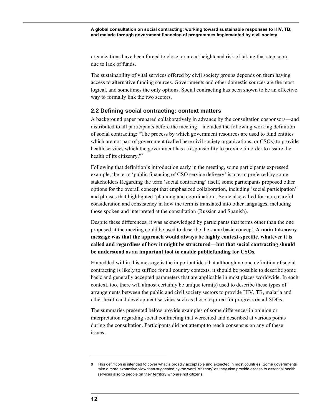organizations have been forced to close, or are at heightened risk of taking that step soon, due to lack of funds.

The sustainability of vital services offered by civil society groups depends on them having access to alternative funding sources. Governments and other domestic sources are the most logical, and sometimes the only options. Social contracting has been shown to be an effective way to formally link the two sectors.

#### **2.2 Defining social contracting: context matters**

A background paper prepared collaboratively in advance by the consultation cosponsors—and distributed to all participants before the meeting—included the following working definition of social contracting: "The process by which government resources are used to fund entities which are not part of government (called here civil society organizations, or CSOs) to provide health services which the government has a responsibility to provide, in order to assure the health of its citizenry."<sup>8</sup>

Following that definition's introduction early in the meeting, some participants expressed example, the term 'public financing of CSO service delivery' is a term preferred by some stakeholders.Regarding the term 'social contracting' itself, some participants proposed other options for the overall concept that emphasized collaboration, including 'social participation' and phrases that highlighted 'planning and coordination'. Some also called for more careful consideration and consistency in how the term is translated into other languages, including those spoken and interpreted at the consultation (Russian and Spanish).

Despite these differences, it was acknowledged by participants that terms other than the one proposed at the meeting could be used to describe the same basic concept. **A main takeaway message was that the approach would always be highly context-specific, whatever it is called and regardless of how it might be structured—but that social contracting should be understood as an important tool to enable publicfunding for CSOs.**

Embedded within this message is the important idea that although no one definition of social contracting is likely to suffice for all country contexts, it should be possible to describe some basic and generally accepted parameters that are applicable in most places worldwide. In each context, too, there will almost certainly be unique term(s) used to describe these types of arrangements between the public and civil society sectors to provide HIV, TB, malaria and other health and development services such as those required for progress on all SDGs.

The summaries presented below provide examples of some differences in opinion or interpretation regarding social contracting that werecited and described at various points during the consultation. Participants did not attempt to reach consensus on any of these issues.

<sup>8</sup> This definition is intended to cover what is broadly acceptable and expected in most countries. Some governments take a more expansive view than suggested by the word 'citizenry' as they also provide access to essential health services also to people on their territory who are not citizens.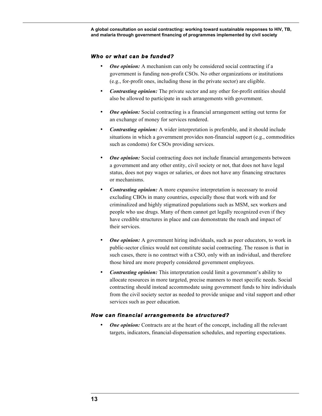#### *Who or what can be funded?*

- *One opinion:* A mechanism can only be considered social contracting if a government is funding non-profit CSOs. No other organizations or institutions (e.g., for-profit ones, including those in the private sector) are eligible.
- *Contrasting opinion:* The private sector and any other for-profit entities should also be allowed to participate in such arrangements with government.
- *One opinion:* Social contracting is a financial arrangement setting out terms for an exchange of money for services rendered.
- *Contrasting opinion:* A wider interpretation is preferable, and it should include situations in which a government provides non-financial support (e.g., commodities such as condoms) for CSOs providing services.
- *One opinion:* Social contracting does not include financial arrangements between a government and any other entity, civil society or not, that does not have legal status, does not pay wages or salaries, or does not have any financing structures or mechanisms.
- *Contrasting opinion:* A more expansive interpretation is necessary to avoid excluding CBOs in many countries, especially those that work with and for criminalized and highly stigmatized populations such as MSM, sex workers and people who use drugs. Many of them cannot get legally recognized even if they have credible structures in place and can demonstrate the reach and impact of their services.
- *One opinion:* A government hiring individuals, such as peer educators, to work in public-sector clinics would not constitute social contracting. The reason is that in such cases, there is no contract with a CSO, only with an individual, and therefore those hired are more properly considered government employees.
- *Contrasting opinion:* This interpretation could limit a government's ability to allocate resources in more targeted, precise manners to meet specific needs. Social contracting should instead accommodate using government funds to hire individuals from the civil society sector as needed to provide unique and vital support and other services such as peer education.

#### *How can financial arrangements be structured?*

• *One opinion:* Contracts are at the heart of the concept, including all the relevant targets, indicators, financial-dispensation schedules, and reporting expectations.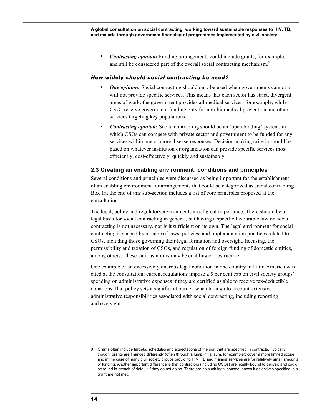• *Contrasting opinion:* Funding arrangements could include grants, for example, and still be considered part of the overall social contracting mechanism.<sup>9</sup>

#### *How widely should social contracting be used?*

- *One opinion:* Social contracting should only be used when governments cannot or will not provide specific services. This means that each sector has strict, divergent areas of work: the government provides all medical services, for example, while CSOs receive government funding only for non-biomedical prevention and other services targeting key populations.
- *Contrasting opinion:* Social contracting should be an 'open bidding' system, in which CSOs can compete with private sector and government to be funded for any services within one or more disease responses. Decision-making criteria should be based on whatever institution or organization can provide specific services most efficiently, cost-effectively, quickly and sustainably.

#### **2.3 Creating an enabling environment: conditions and principles**

Several conditions and principles were discussed as being important for the establishment of an enabling environment for arrangements that could be categorized as social contracting. Box 1at the end of this sub-section includes a list of core principles proposed at the consultation.

The legal, policy and regulatoryenvironments areof great importance. There should be a legal basis for social contracting in general, but having a specific favourable law on social contracting is not necessary, nor is it sufficient on its own. The legal environment for social contracting is shaped by a range of laws, policies, and implementation practices related to CSOs, including those governing their legal formation and oversight, licensing, the permissibility and taxation of CSOs, and regulation of foreign funding of domestic entities, among others. These various norms may be enabling or obstructive.

One example of an excessively onerous legal condition in one country in Latin America was cited at the consultation: current regulations impose a 5 per cent cap on civil society groups' spending on administrative expenses if they are certified as able to receive tax-deductible donations.That policy sets a significant burden when takinginto account extensive administrative responsibilities associated with social contracting, including reporting and oversight.

<sup>9</sup> Grants often include targets, schedules and expectations of the sort that are specified in contracts. Typically, though, grants are financed differently (often through a lump initial sum, for example); cover a more limited scope; and in the case of many civil society groups providing HIV, TB and malaria services are for relatively small amounts of funding. Another important difference is that contractors (including CSOs) are legally bound to deliver, and could be found in breach of default if they do not do so. There are no such legal consequences if objectives specified in a grant are not met.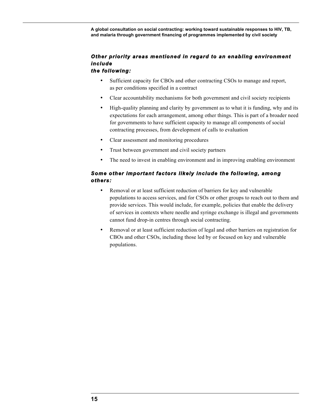## *Other priority areas mentioned in regard to an enabling environment include*

### *the following:*

- Sufficient capacity for CBOs and other contracting CSOs to manage and report, as per conditions specified in a contract
- Clear accountability mechanisms for both government and civil society recipients
- High-quality planning and clarity by government as to what it is funding, why and its expectations for each arrangement, among other things. This is part of a broader need for governments to have sufficient capacity to manage all components of social contracting processes, from development of calls to evaluation
- Clear assessment and monitoring procedures
- Trust between government and civil society partners
- The need to invest in enabling environment and in improving enabling environment

### *Some other important factors likely include the following, among others:*

- Removal or at least sufficient reduction of barriers for key and vulnerable populations to access services, and for CSOs or other groups to reach out to them and provide services. This would include, for example, policies that enable the delivery of services in contexts where needle and syringe exchange is illegal and governments cannot fund drop-in centres through social contracting.
- Removal or at least sufficient reduction of legal and other barriers on registration for CBOs and other CSOs, including those led by or focused on key and vulnerable populations.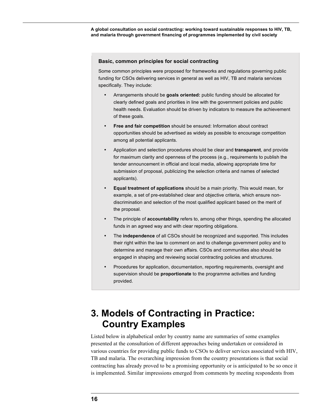#### **Basic, common principles for social contracting**

Some common principles were proposed for frameworks and regulations governing public funding for CSOs delivering services in general as well as HIV, TB and malaria services specifically. They include:

- Arrangements should be **goals oriented:** public funding should be allocated for clearly defined goals and priorities in line with the government policies and public health needs. Evaluation should be driven by indicators to measure the achievement of these goals.
- **Free and fair competition** should be ensured: Information about contract opportunities should be advertised as widely as possible to encourage competition among all potential applicants.
- Application and selection procedures should be clear and **transparent**, and provide for maximum clarity and openness of the process (e.g., requirements to publish the tender announcement in official and local media, allowing appropriate time for submission of proposal, publicizing the selection criteria and names of selected applicants).
- **Equal treatment of applications** should be a main priority. This would mean, for example, a set of pre-established clear and objective criteria, which ensure nondiscrimination and selection of the most qualified applicant based on the merit of the proposal.
- The principle of **accountability** refers to, among other things, spending the allocated funds in an agreed way and with clear reporting obligations.
- The **independence** of all CSOs should be recognized and supported. This includes their right within the law to comment on and to challenge government policy and to determine and manage their own affairs. CSOs and communities also should be engaged in shaping and reviewing social contracting policies and structures.
- Procedures for application, documentation, reporting requirements, oversight and supervision should be **proportionate** to the programme activities and funding provided.

# **3. Models of Contracting in Practice: Country Examples**

Listed below in alphabetical order by country name are summaries of some examples presented at the consultation of different approaches being undertaken or considered in various countries for providing public funds to CSOs to deliver services associated with HIV, TB and malaria. The overarching impression from the country presentations is that social contracting has already proved to be a promising opportunity or is anticipated to be so once it is implemented. Similar impressions emerged from comments by meeting respondents from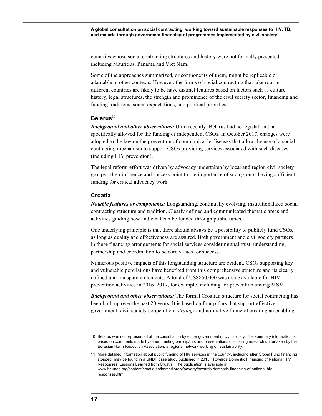countries whose social contracting structures and history were not formally presented, including Mauritius, Panama and Viet Nam.

Some of the approaches summarized, or components of them, might be replicable or adaptable in other contexts. However, the forms of social contracting that take root in different countries are likely to be have distinct features based on factors such as culture, history, legal structures, the strength and prominence of the civil society sector, financing and funding traditions, social expectations, and political priorities.

#### **Belarus<sup>10</sup>**

*Background and other observations:* Until recently, Belarus had no legislation that specifically allowed for the funding of independent CSOs. In October 2017, changes were adopted to the law on the prevention of communicable diseases that allow the use of a social contracting mechanism to support CSOs providing services associated with such diseases (including HIV prevention).

The legal reform effort was driven by advocacy undertaken by local and region civil society groups. Their influence and success point to the importance of such groups having sufficient funding for critical advocacy work.

#### **Croatia**

*Notable features or components:* Longstanding, continually evolving, institutionalized social contracting structure and tradition. Clearly defined and communicated thematic areas and activities guiding how and what can be funded through public funds.

One underlying principle is that there should always be a possibility to publicly fund CSOs, as long as quality and effectiveness are assured. Both government and civil society partners in these financing arrangements for social services consider mutual trust, understanding, partnership and coordination to be core values for success.

Numerous positive impacts of this longstanding structure are evident. CSOs supporting key and vulnerable populations have benefited from this comprehensive structure and its clearly defined and transparent elements. A total of US\$850,000 was made available for HIV prevention activities in 2016–2017, for example, including for prevention among MSM.<sup>11</sup>

*Background and other observations:* The formal Croatian structure for social contracting has been built up over the past 20 years. It is based on four pillars that support effective government–civil society cooperation: *strategy* and normative frame of creating an enabling

<sup>10</sup> Belarus was not represented at the consultation by either government or civil society. The summary information is based on comments made by other meeting participants and presentations discussing research undertaken by the Eurasian Harm Reduction Association, a regional network working on sustainability.

<sup>11</sup> More detailed information about public funding of HIV services in the country, including after Global Fund financing stopped, may be found in a UNDP case study published in 2015: 'Towards Domestic Financing of National HIV Responses: Lessons Learned from Croatia'. The publication is available at www.hr.undp.org/content/croatia/en/home/library/poverty/towards-domestic-financing-of-national-hivresponses.html.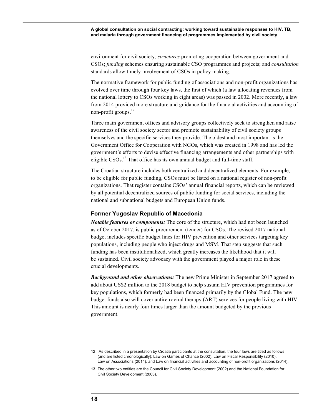environment for civil society; *structures* promoting cooperation between government and CSOs; *funding* schemes ensuring sustainable CSO programmes and projects; and *consultation* standards allow timely involvement of CSOs in policy making.

The normative framework for public funding of associations and non-profit organizations has evolved over time through four key laws, the first of which (a law allocating revenues from the national lottery to CSOs working in eight areas) was passed in 2002. More recently, a law from 2014 provided more structure and guidance for the financial activities and accounting of non-profit groups.<sup>12</sup>

Three main government offices and advisory groups collectively seek to strengthen and raise awareness of the civil society sector and promote sustainability of civil society groups themselves and the specific services they provide. The oldest and most important is the Government Office for Cooperation with NGOs, which was created in 1998 and has led the government's efforts to devise effective financing arrangements and other partnerships with eligible  $CSOs$ <sup>13</sup>. That office has its own annual budget and full-time staff.

The Croatian structure includes both centralized and decentralized elements. For example, to be eligible for public funding, CSOs must be listed on a national register of non-profit organizations. That register contains CSOs' annual financial reports, which can be reviewed by all potential decentralized sources of public funding for social services, including the national and subnational budgets and European Union funds.

#### **Former Yugoslav Republic of Macedonia**

*Notable features or components:* The core of the structure, which had not been launched as of October 2017, is public procurement (tender) for CSOs. The revised 2017 national budget includes specific budget lines for HIV prevention and other services targeting key populations, including people who inject drugs and MSM. That step suggests that such funding has been institutionalized, which greatly increases the likelihood that it will be sustained. Civil society advocacy with the government played a major role in these crucial developments.

*Background and other observations:* The new Prime Minister in September 2017 agreed to add about US\$2 million to the 2018 budget to help sustain HIV prevention programmes for key populations, which formerly had been financed primarily by the Global Fund. The new budget funds also will cover antiretroviral therapy (ART) services for people living with HIV. This amount is nearly four times larger than the amount budgeted by the previous government.

<sup>12</sup> As described in a presentation by Croatia participants at the consultation, the four laws are titled as follows (and are listed chronologically): Law on Games of Chance (2002), Law on Fiscal Responsibility (2010), Law on Associations (2014), and Law on financial activities and accounting of non-profit organizations (2014).

<sup>13</sup> The other two entities are the Council for Civil Society Development (2002) and the National Foundation for Civil Society Development (2003).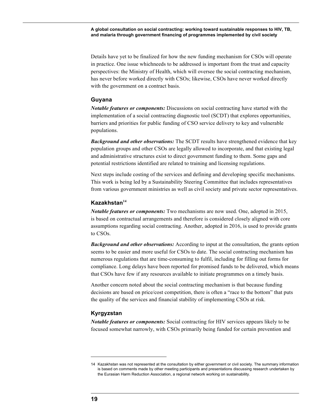Details have yet to be finalized for how the new funding mechanism for CSOs will operate in practice. One issue whichneeds to be addressed is important from the trust and capacity perspectives: the Ministry of Health, which will oversee the social contracting mechanism, has never before worked directly with CSOs; likewise, CSOs have never worked directly with the government on a contract basis.

#### **Guyana**

*Notable features or components:* Discussions on social contracting have started with the implementation of a social contracting diagnostic tool (SCDT) that explores opportunities, barriers and priorities for public funding of CSO service delivery to key and vulnerable populations.

*Background and other observations:* The SCDT results have strengthened evidence that key population groups and other CSOs are legally allowed to incorporate, and that existing legal and administrative structures exist to direct government funding to them. Some gaps and potential restrictions identified are related to training and licensing regulations.

Next steps include costing of the services and defining and developing specific mechanisms. This work is being led by a Sustainability Steering Committee that includes representatives from various government ministries as well as civil society and private sector representatives.

#### **Kazakhstan<sup>14</sup>**

*Notable features or components:* Two mechanisms are now used. One, adopted in 2015, is based on contractual arrangements and therefore is considered closely aligned with core assumptions regarding social contracting. Another, adopted in 2016, is used to provide grants to CSOs.

*Background and other observations:* According to input at the consultation, the grants option seems to be easier and more useful for CSOs to date. The social contracting mechanism has numerous regulations that are time-consuming to fulfil, including for filling out forms for compliance. Long delays have been reported for promised funds to be delivered, which means that CSOs have few if any resources available to initiate programmes on a timely basis.

Another concern noted about the social contracting mechanism is that because funding decisions are based on price/cost competition, there is often a "race to the bottom" that puts the quality of the services and financial stability of implementing CSOs at risk.

#### **Kyrgyzstan**

*Notable features or components:* Social contracting for HIV services appears likely to be focused somewhat narrowly, with CSOs primarily being funded for certain prevention and

<sup>14</sup> Kazakhstan was not represented at the consultation by either government or civil society. The summary information is based on comments made by other meeting participants and presentations discussing research undertaken by the Eurasian Harm Reduction Association, a regional network working on sustainability.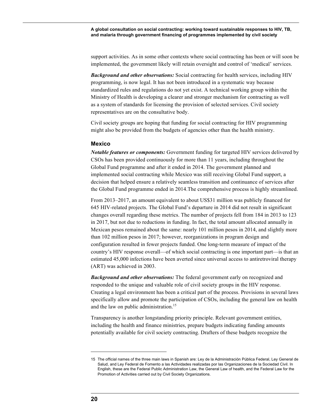support activities. As in some other contexts where social contracting has been or will soon be implemented, the government likely will retain oversight and control of 'medical' services.

*Background and other observations:* Social contracting for health services, including HIV programming, is now legal. It has not been introduced in a systematic way because standardized rules and regulations do not yet exist. A technical working group within the Ministry of Health is developing a clearer and stronger mechanism for contracting as well as a system of standards for licensing the provision of selected services. Civil society representatives are on the consultative body.

Civil society groups are hoping that funding for social contracting for HIV programming might also be provided from the budgets of agencies other than the health ministry.

#### **Mexico**

*Notable features or components:* Government funding for targeted HIV services delivered by CSOs has been provided continuously for more than 11 years, including throughout the Global Fund programme and after it ended in 2014. The government planned and implemented social contracting while Mexico was still receiving Global Fund support, a decision that helped ensure a relatively seamless transition and continuance of services after the Global Fund programme ended in 2014.The comprehensive process is highly streamlined.

From 2013–2017, an amount equivalent to about US\$31 million was publicly financed for 645 HIV-related projects. The Global Fund's departure in 2014 did not result in significant changes overall regarding these metrics. The number of projects fell from 184 in 2013 to 123 in 2017, but not due to reductions in funding. In fact, the total amount allocated annually in Mexican pesos remained about the same: nearly 101 million pesos in 2014, and slightly more than 102 million pesos in 2017; however, reorganizations in program design and configuration resulted in fewer projects funded. One long-term measure of impact of the country's HIV response overall—of which social contracting is one important part—is that an estimated 45,000 infections have been averted since universal access to antiretroviral therapy (ART) was achieved in 2003.

*Background and other observations:* The federal government early on recognized and responded to the unique and valuable role of civil society groups in the HIV response. Creating a legal environment has been a critical part of the process. Provisions in several laws specifically allow and promote the participation of CSOs, including the general law on health and the law on public administration.<sup>15</sup>

Transparency is another longstanding priority principle. Relevant government entities, including the health and finance ministries, prepare budgets indicating funding amounts potentially available for civil society contracting. Drafters of these budgets recognize the

<sup>15</sup> The official names of the three main laws in Spanish are: Ley de la Administración Pública Federal, Ley General de Salud, and Ley Federal de Fomento a las Actividades realizadas por las Organizaciones de la Sociedad Civil. In English, these are the Federal Public Administration Law, the General Law of health, and the Federal Law for the Promotion of Activities carried out by Civil Society Organizations.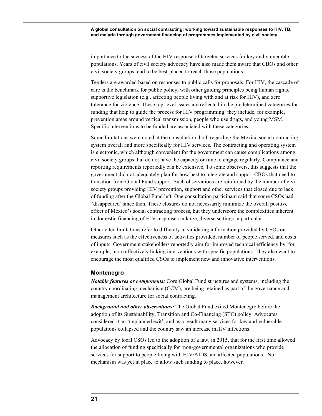importance to the success of the HIV response of targeted services for key and vulnerable populations. Years of civil society advocacy have also made them aware that CBOs and other civil society groups tend to be best-placed to reach those populations.

Tenders are awarded based on responses to public calls for proposals. For HIV, the cascade of care is the benchmark for public policy, with other guiding principles being human rights, supportive legislation (e.g., affecting people living with and at risk for HIV), and zero tolerance for violence. These top-level issues are reflected in the predetermined categories for funding that help to guide the process for HIV programming: they include, for example, prevention areas around vertical transmission, people who use drugs, and young MSM. Specific interventions to be funded are associated with these categories.

Some limitations were noted at the consultation, both regarding the Mexico social contracting system overall and more specifically for HIV services. The contracting and operating system is electronic, which although convenient for the government can cause complications among civil society groups that do not have the capacity or time to engage regularly. Compliance and reporting requirements reportedly can be extensive. To some observers, this suggests that the government did not adequately plan for how best to integrate and support CBOs that need to transition from Global Fund support. Such observations are reinforced by the number of civil society groups providing HIV prevention, support and other services that closed due to lack of funding after the Global Fund left. One consultation participant said that some CSOs had "disappeared' since then. These closures do not necessarily minimize the overall positive effect of Mexico's social contracting process, but they underscore the complexities inherent in domestic financing of HIV responses in large, diverse settings in particular.

Other cited limitations refer to difficulty in validating information provided by CSOs on measures such as the effectiveness of activities provided, number of people served, and costs of inputs. Government stakeholders reportedly aim for improved technical efficiency by, for example, more effectively linking interventions with specific populations. They also want to encourage the most qualified CSOs to implement new and innovative interventions.

#### **Montenegro**

*Notable features or components:* Core Global Fund structures and systems, including the country coordinating mechanism (CCM), are being retained as part of the governance and management architecture for social contracting.

*Background and other observations:* The Global Fund exited Montenegro before the adoption of its Sustainability, Transition and Co-Financing (STC) policy. Advocates considered it an 'unplanned exit', and as a result many services for key and vulnerable populations collapsed and the country saw an increase inHIV infections.

Advocacy by local CSOs led to the adoption of a law, in 2015, that for the first time allowed the allocation of funding specifically for 'non-governmental organizations who provide services for support to people living with HIV/AIDS and affected populations'. No mechanism was yet in place to allow such funding to place, however.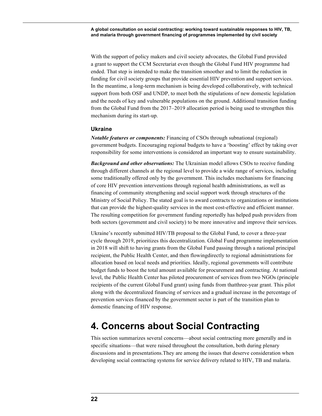With the support of policy makers and civil society advocates, the Global Fund provided a grant to support the CCM Secretariat even though the Global Fund HIV programme had ended. That step is intended to make the transition smoother and to limit the reduction in funding for civil society groups that provide essential HIV prevention and support services. In the meantime, a long-term mechanism is being developed collaboratively, with technical support from both OSF and UNDP, to meet both the stipulations of new domestic legislation and the needs of key and vulnerable populations on the ground. Additional transition funding from the Global Fund from the 2017–2019 allocation period is being used to strengthen this mechanism during its start-up.

#### **Ukraine**

*Notable features or components:* Financing of CSOs through subnational (regional) government budgets. Encouraging regional budgets to have a 'boosting' effect by taking over responsibility for some interventions is considered an important way to ensure sustainability.

*Background and other observations:* The Ukrainian model allows CSOs to receive funding through different channels at the regional level to provide a wide range of services, including some traditionally offered only by the government. This includes mechanisms for financing of core HIV prevention interventions through regional health administrations, as well as financing of community strengthening and social support work through structures of the Ministry of Social Policy. The stated goal is to award contracts to organizations or institutions that can provide the highest-quality services in the most cost-effective and efficient manner. The resulting competition for government funding reportedly has helped push providers from both sectors (government and civil society) to be more innovative and improve their services.

Ukraine's recently submitted HIV/TB proposal to the Global Fund, to cover a three-year cycle through 2019, prioritizes this decentralization. Global Fund programme implementation in 2018 will shift to having grants from the Global Fund passing through a national principal recipient, the Public Health Center, and then flowingdirectly to regional administrations for allocation based on local needs and priorities. Ideally, regional governments will contribute budget funds to boost the total amount available for procurement and contracting. At national level, the Public Health Center has piloted procurement of services from two NGOs (principle recipients of the current Global Fund grant) using funds from thatthree-year grant. This pilot along with the decentralized financing of services and a gradual increase in the percentage of prevention services financed by the government sector is part of the transition plan to domestic financing of HIV response.

# **4. Concerns about Social Contracting**

This section summarizes several concerns—about social contracting more generally and in specific situations—that were raised throughout the consultation, both during plenary discussions and in presentations.They are among the issues that deserve consideration when developing social contracting systems for service delivery related to HIV, TB and malaria.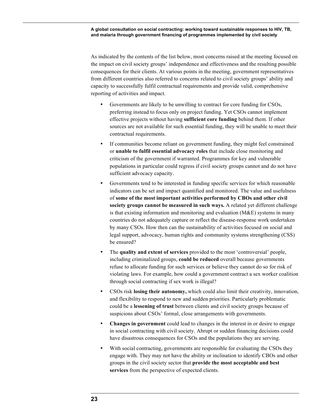As indicated by the contents of the list below, most concerns raised at the meeting focused on the impact on civil society groups' independence and effectiveness and the resulting possible consequences for their clients. At various points in the meeting, government representatives from different countries also referred to concerns related to civil society groups' ability and capacity to successfully fulfil contractual requirements and provide valid, comprehensive reporting of activities and impact.

- Governments are likely to be unwilling to contract for core funding for CSOs, preferring instead to focus only on project funding. Yet CSOs cannot implement effective projects without having **sufficient core funding** behind them. If other sources are not available for such essential funding, they will be unable to meet their contractual requirements.
- If communities become reliant on government funding, they might feel constrained or **unable to fulfil essential advocacy roles** that include close monitoring and criticism of the government if warranted. Programmes for key and vulnerable populations in particular could regress if civil society groups cannot and do not have sufficient advocacy capacity.
- Governments tend to be interested in funding specific services for which reasonable indicators can be set and impact quantified and monitored. The value and usefulness of **some of the most important activities performed by CBOs and other civil society groups cannot be measured in such ways.** A related yet different challenge is that existing information and monitoring and evaluation  $(M&E)$  systems in many countries do not adequately capture or reflect the disease-response work undertaken by many CSOs. How then can the sustainability of activities focused on social and legal support, advocacy, human rights and community systems strengthening (CSS) be ensured?
- The **quality and extent of services** provided to the most 'controversial' people, including criminalized groups, **could be reduced** overall because governments refuse to allocate funding for such services or believe they cannot do so for risk of violating laws. For example, how could a government contract a sex worker coalition through social contracting if sex work is illegal?
- CSOs risk **losing their autonomy,** which could also limit their creativity, innovation, and flexibility to respond to new and sudden priorities. Particularly problematic could be a **lessening of trust** between clients and civil society groups because of suspicions about CSOs' formal, close arrangements with governments.
- **Changes in government** could lead to changes in the interest in or desire to engage in social contracting with civil society. Abrupt or sudden financing decisions could have disastrous consequences for CSOs and the populations they are serving.
- With social contracting, governments are responsible for evaluating the CSOs they engage with. They may not have the ability or inclination to identify CBOs and other groups in the civil society sector that **provide the most acceptable and best services** from the perspective of expected clients.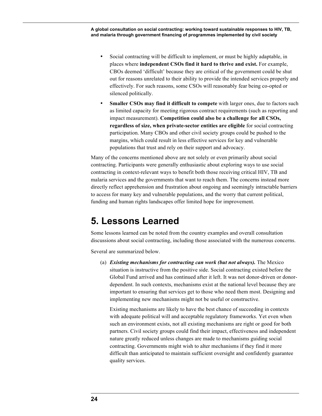- Social contracting will be difficult to implement, or must be highly adaptable, in places where **independent CSOs find it hard to thrive and exist.** For example, CBOs deemed 'difficult' because they are critical of the government could be shut out for reasons unrelated to their ability to provide the intended services properly and effectively. For such reasons, some CSOs will reasonably fear being co-opted or silenced politically.
- **Smaller CSOs may find it difficult to compete** with larger ones, due to factors such as limited capacity for meeting rigorous contract requirements (such as reporting and impact measurement). **Competition could also be a challenge for all CSOs, regardless of size, when private-sector entities are eligible** for social contracting participation. Many CBOs and other civil society groups could be pushed to the margins, which could result in less effective services for key and vulnerable populations that trust and rely on their support and advocacy.

Many of the concerns mentioned above are not solely or even primarily about social contracting. Participants were generally enthusiastic about exploring ways to use social contracting in context-relevant ways to benefit both those receiving critical HIV, TB and malaria services and the governments that want to reach them. The concerns instead more directly reflect apprehension and frustration about ongoing and seemingly intractable barriers to access for many key and vulnerable populations, and the worry that current political, funding and human rights landscapes offer limited hope for improvement.

## **5. Lessons Learned**

Some lessons learned can be noted from the country examples and overall consultation discussions about social contracting, including those associated with the numerous concerns.

Several are summarized below.

(a) *Existing mechanisms for contracting can work (but not always).* The Mexico situation is instructive from the positive side. Social contracting existed before the Global Fund arrived and has continued after it left. It was not donor-driven or donordependent. In such contexts, mechanisms exist at the national level because they are important to ensuring that services get to those who need them most. Designing and implementing new mechanisms might not be useful or constructive.

Existing mechanisms are likely to have the best chance of succeeding in contexts with adequate political will and acceptable regulatory frameworks. Yet even when such an environment exists, not all existing mechanisms are right or good for both partners. Civil society groups could find their impact, effectiveness and independent nature greatly reduced unless changes are made to mechanisms guiding social contracting. Governments might wish to alter mechanisms if they find it more difficult than anticipated to maintain sufficient oversight and confidently guarantee quality services.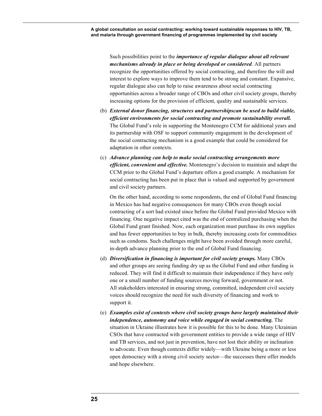Such possibilities point to the *importance of regular dialogue about all relevant mechanisms already in place or being developed or considered*. All partners recognize the opportunities offered by social contracting, and therefore the will and interest to explore ways to improve them tend to be strong and constant. Expansive, regular dialogue also can help to raise awareness about social contracting opportunities across a broader range of CBOs and other civil society groups, thereby increasing options for the provision of efficient, quality and sustainable services.

- (b) *External donor financing, structures and partnershipscan be used to build viable, efficient environments for social contracting and promote sustainability overall.*  The Global Fund's role in supporting the Montenegro CCM for additional years and its partnership with OSF to support community engagement in the development of the social contracting mechanism is a good example that could be considered for adaptation in other contexts.
- (c) *Advance planning can help to make social contracting arrangements more efficient, convenient and effective.* Montenegro's decision to maintain and adapt the CCM prior to the Global Fund's departure offers a good example. A mechanism for social contracting has been put in place that is valued and supported by government and civil society partners.

On the other hand, according to some respondents, the end of Global Fund financing in Mexico has had negative consequences for many CBOs even though social contracting of a sort had existed since before the Global Fund provided Mexico with financing. One negative impact cited was the end of centralized purchasing when the Global Fund grant finished. Now, each organization must purchase its own supplies and has fewer opportunities to buy in bulk, thereby increasing costs for commodities such as condoms. Such challenges might have been avoided through more careful, in-depth advance planning prior to the end of Global Fund financing.

- (d) *Diversification in financing is important for civil society groups.* Many CBOs and other groups are seeing funding dry up as the Global Fund and other funding is reduced. They will find it difficult to maintain their independence if they have only one or a small number of funding sources moving forward, government or not. All stakeholders interested in ensuring strong, committed, independent civil society voices should recognize the need for such diversity of financing and work to support it.
- (e) *Examples exist of contexts where civil society groups have largely maintained their independence, autonomy and voice while engaged in social contracting.* The situation in Ukraine illustrates how it is possible for this to be done. Many Ukrainian CSOs that have contracted with government entities to provide a wide range of HIV and TB services, and not just in prevention, have not lost their ability or inclination to advocate. Even though contexts differ widely—with Ukraine being a more or less open democracy with a strong civil society sector—the successes there offer models and hope elsewhere.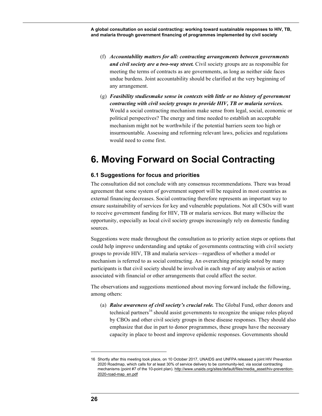- (f) *Accountability matters for all: contracting arrangements between governments and civil society are a two-way street.* Civil society groups are as responsible for meeting the terms of contracts as are governments, as long as neither side faces undue burdens. Joint accountability should be clarified at the very beginning of any arrangement.
- (g) *Feasibility studiesmake sense in contexts with little or no history of government contracting with civil society groups to provide HIV, TB or malaria services.*  Would a social contracting mechanism make sense from legal, social, economic or political perspectives? The energy and time needed to establish an acceptable mechanism might not be worthwhile if the potential barriers seem too high or insurmountable. Assessing and reforming relevant laws, policies and regulations would need to come first.

# **6. Moving Forward on Social Contracting**

#### **6.1 Suggestions for focus and priorities**

The consultation did not conclude with any consensus recommendations. There was broad agreement that some system of government support will be required in most countries as external financing decreases. Social contracting therefore represents an important way to ensure sustainability of services for key and vulnerable populations. Not all CSOs will want to receive government funding for HIV, TB or malaria services. But many willseize the opportunity, especially as local civil society groups increasingly rely on domestic funding sources.

Suggestions were made throughout the consultation as to priority action steps or options that could help improve understanding and uptake of governments contracting with civil society groups to provide HIV, TB and malaria services—regardless of whether a model or mechanism is referred to as social contracting. An overarching principle noted by many participants is that civil society should be involved in each step of any analysis or action associated with financial or other arrangements that could affect the sector.

The observations and suggestions mentioned about moving forward include the following, among others:

(a) *Raise awareness of civil society's crucial role.* The Global Fund, other donors and technical partners<sup>16</sup> should assist governments to recognize the unique roles played by CBOs and other civil society groups in these disease responses. They should also emphasize that due in part to donor programmes, these groups have the necessary capacity in place to boost and improve epidemic responses. Governments should

<sup>16</sup> Shortly after this meeting took place, on 10 October 2017, UNAIDS and UNFPA released a joint HIV Prevention 2020 Roadmap, which calls for at least 30% of service delivery to be community-led, via social contracting mechanisms (point #7 of the 10-point plan). http://www.unaids.org/sites/default/files/media\_asset/hiv-prevention-2020-road-map\_en.pdf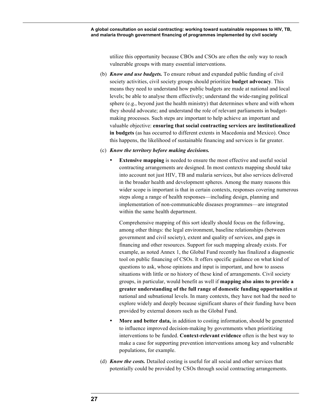utilize this opportunity because CBOs and CSOs are often the only way to reach vulnerable groups with many essential interventions.

- (b) *Know and use budgets.* To ensure robust and expanded public funding of civil society activities, civil society groups should prioritize **budget advocacy**. This means they need to understand how public budgets are made at national and local levels; be able to analyse them effectively; understand the wide-ranging political sphere (e.g., beyond just the health ministry) that determines where and with whom they should advocate; and understand the role of relevant parliaments in budgetmaking processes. Such steps are important to help achieve an important and valuable objective: **ensuring that social contracting services are institutionalized in budgets** (as has occurred to different extents in Macedonia and Mexico). Once this happens, the likelihood of sustainable financing and services is far greater.
- (c) *Know the territory before making decisions.* 
	- **Extensive mapping** is needed to ensure the most effective and useful social contracting arrangements are designed. In most contexts mapping should take into account not just HIV, TB and malaria services, but also services delivered in the broader health and development spheres. Among the many reasons this wider scope is important is that in certain contexts, responses covering numerous steps along a range of health responses—including design, planning and implementation of non-communicable diseases programmes—are integrated within the same health department.

Comprehensive mapping of this sort ideally should focus on the following, among other things: the legal environment, baseline relationships (between government and civil society), extent and quality of services, and gaps in financing and other resources. Support for such mapping already exists. For example, as noted Annex 1, the Global Fund recently has finalized a diagnostic tool on public financing of CSOs. It offers specific guidance on what kind of questions to ask, whose opinions and input is important, and how to assess situations with little or no history of these kind of arrangements. Civil society groups, in particular, would benefit as well if **mapping also aims to provide a greater understanding of the full range of domestic funding opportunities** at national and subnational levels. In many contexts, they have not had the need to explore widely and deeply because significant shares of their funding have been provided by external donors such as the Global Fund.

- **More and better data,** in addition to costing information, should be generated to influence improved decision-making by governments when prioritizing interventions to be funded. **Context-relevant evidence** often is the best way to make a case for supporting prevention interventions among key and vulnerable populations, for example.
- (d) *Know the costs.* Detailed costing is useful for all social and other services that potentially could be provided by CSOs through social contracting arrangements.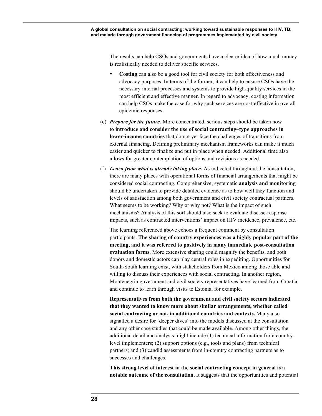The results can help CSOs and governments have a clearer idea of how much money is realistically needed to deliver specific services.

- **Costing** can also be a good tool for civil society for both effectiveness and advocacy purposes. In terms of the former, it can help to ensure CSOs have the necessary internal processes and systems to provide high-quality services in the most efficient and effective manner. In regard to advocacy, costing information can help CSOs make the case for why such services are cost-effective in overall epidemic responses.
- (e) *Prepare for the future.* More concentrated, serious steps should be taken now to **introduce and consider the use of social contracting–type approaches in lower-income countries** that do not yet face the challenges of transitions from external financing. Defining preliminary mechanism frameworks can make it much easier and quicker to finalize and put in place when needed. Additional time also allows for greater contemplation of options and revisions as needed.
- (f) *Learn from what is already taking place.* As indicated throughout the consultation, there are many places with operational forms of financial arrangements that might be considered social contracting. Comprehensive, systematic **analysis and monitoring**  should be undertaken to provide detailed evidence as to how well they function and levels of satisfaction among both government and civil society contractual partners. What seems to be working? Why or why not? What is the impact of such mechanisms? Analysis of this sort should also seek to evaluate disease-response impacts, such as contracted interventions' impact on HIV incidence, prevalence, etc.

The learning referenced above echoes a frequent comment by consultation participants. **The sharing of country experiences was a highly popular part of the meeting, and it was referred to positively in many immediate post-consultation evaluation forms**. More extensive sharing could magnify the benefits, and both donors and domestic actors can play central roles in expediting. Opportunities for South-South learning exist, with stakeholders from Mexico among those able and willing to discuss their experiences with social contracting. In another region, Montenegrin government and civil society representatives have learned from Croatia and continue to learn through visits to Estonia, for example.

**Representatives from both the government and civil society sectors indicated that they wanted to know more about similar arrangements, whether called social contracting or not, in additional countries and contexts.** Many also signalled a desire for 'deeper dives' into the models discussed at the consultation and any other case studies that could be made available. Among other things, the additional detail and analysis might include (1) technical information from countrylevel implementers; (2) support options (e.g., tools and plans) from technical partners; and (3) candid assessments from in-country contracting partners as to successes and challenges.

**This strong level of interest in the social contracting concept in general is a notable outcome of the consultation.** It suggests that the opportunities and potential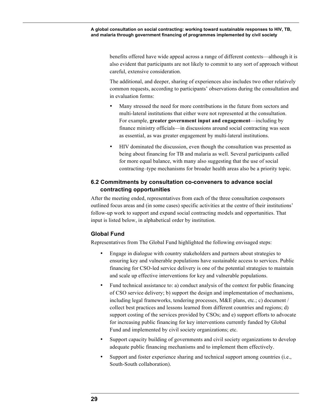benefits offered have wide appeal across a range of different contexts—although it is also evident that participants are not likely to commit to any sort of approach without careful, extensive consideration.

The additional, and deeper, sharing of experiences also includes two other relatively common requests, according to participants' observations during the consultation and in evaluation forms:

- Many stressed the need for more contributions in the future from sectors and multi-lateral institutions that either were not represented at the consultation. For example, **greater government input and engagement**—including by finance ministry officials—in discussions around social contracting was seen as essential, as was greater engagement by multi-lateral institutions.
- HIV dominated the discussion, even though the consultation was presented as being about financing for TB and malaria as well. Several participants called for more equal balance, with many also suggesting that the use of social contracting–type mechanisms for broader health areas also be a priority topic.

### **6.2 Commitments by consultation co-conveners to advance social contracting opportunities**

After the meeting ended, representatives from each of the three consultation cosponsors outlined focus areas and (in some cases) specific activities at the centre of their institutions' follow-up work to support and expand social contracting models and opportunities. That input is listed below, in alphabetical order by institution.

### **Global Fund**

Representatives from The Global Fund highlighted the following envisaged steps:

- Engage in dialogue with country stakeholders and partners about strategies to ensuring key and vulnerable populations have sustainable access to services. Public financing for CSO-led service delivery is one of the potential strategies to maintain and scale up effective interventions for key and vulnerable populations.
- Fund technical assistance to: a) conduct analysis of the context for public financing of CSO service delivery; b) support the design and implementation of mechanisms, including legal frameworks, tendering processes, M&E plans, etc.; c) document / collect best practices and lessons learned from different countries and regions; d) support costing of the services provided by CSOs; and e) support efforts to advocate for increasing public financing for key interventions currently funded by Global Fund and implemented by civil society organizations; etc.
- Support capacity building of governments and civil society organizations to develop adequate public financing mechanisms and to implement them effectively.
- Support and foster experience sharing and technical support among countries (i.e., South-South collaboration).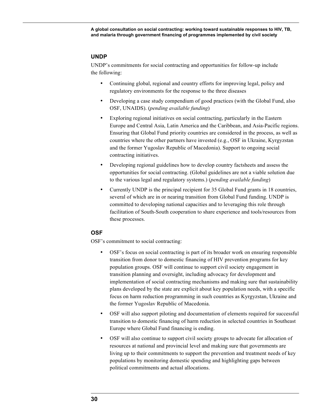#### **UNDP**

UNDP's commitments for social contracting and opportunities for follow-up include the following:

- Continuing global, regional and country efforts for improving legal, policy and regulatory environments for the response to the three diseases
- Developing a case study compendium of good practices (with the Global Fund, also OSF, UNAIDS). (*pending available funding*)
- Exploring regional initiatives on social contracting, particularly in the Eastern Europe and Central Asia, Latin America and the Caribbean, and Asia-Pacific regions. Ensuring that Global Fund priority countries are considered in the process, as well as countries where the other partners have invested (e.g., OSF in Ukraine, Kyrgyzstan and the former Yugoslav Republic of Macedonia). Support to ongoing social contracting initiatives.
- Developing regional guidelines how to develop country factsheets and assess the opportunities for social contracting. (Global guidelines are not a viable solution due to the various legal and regulatory systems.) (*pending available funding*)
- Currently UNDP is the principal recipient for 35 Global Fund grants in 18 countries, several of which are in or nearing transition from Global Fund funding. UNDP is committed to developing national capacities and to leveraging this role through facilitation of South-South cooperation to share experience and tools/resources from these processes.

#### **OSF**

OSF's commitment to social contracting:

- OSF's focus on social contracting is part of its broader work on ensuring responsible transition from donor to domestic financing of HIV prevention programs for key population groups. OSF will continue to support civil society engagement in transition planning and oversight, including advocacy for development and implementation of social contracting mechanisms and making sure that sustainability plans developed by the state are explicit about key population needs, with a specific focus on harm reduction programming in such countries as Kyrgyzstan, Ukraine and the former Yugoslav Republic of Macedonia.
- OSF will also support piloting and documentation of elements required for successful transition to domestic financing of harm reduction in selected countries in Southeast Europe where Global Fund financing is ending.
- OSF will also continue to support civil society groups to advocate for allocation of resources at national and provincial level and making sure that governments are living up to their commitments to support the prevention and treatment needs of key populations by monitoring domestic spending and highlighting gaps between political commitments and actual allocations.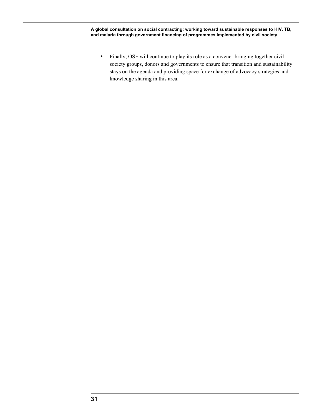• Finally, OSF will continue to play its role as a convener bringing together civil society groups, donors and governments to ensure that transition and sustainability stays on the agenda and providing space for exchange of advocacy strategies and knowledge sharing in this area.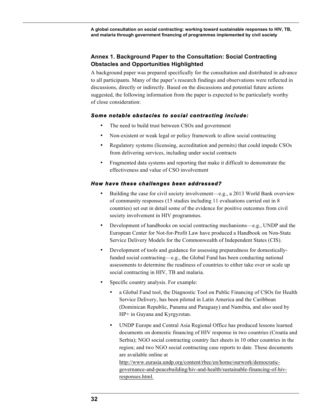### **Annex 1. Background Paper to the Consultation: Social Contracting Obstacles and Opportunities Highlighted**

A background paper was prepared specifically for the consultation and distributed in advance to all participants. Many of the paper's research findings and observations were reflected in discussions, directly or indirectly. Based on the discussions and potential future actions suggested, the following information from the paper is expected to be particularly worthy of close consideration:

### *Some notable obstacles to social contracting include:*

- The need to build trust between CSOs and government
- Non-existent or weak legal or policy framework to allow social contracting
- Regulatory systems (licensing, accreditation and permits) that could impede CSOs from delivering services, including under social contracts
- Fragmented data systems and reporting that make it difficult to demonstrate the effectiveness and value of CSO involvement

### *How have these challenges been addressed?*

- Building the case for civil society involvement—e.g., a 2013 World Bank overview of community responses (15 studies including 11 evaluations carried out in 8 countries) set out in detail some of the evidence for positive outcomes from civil society involvement in HIV programmes.
- Development of handbooks on social contracting mechanisms—e.g., UNDP and the European Center for Not-for-Profit Law have produced a Handbook on Non-State Service Delivery Models for the Commonwealth of Independent States (CIS).
- Development of tools and guidance for assessing preparedness for domesticallyfunded social contracting—e.g., the Global Fund has been conducting national assessments to determine the readiness of countries to either take over or scale up social contracting in HIV, TB and malaria.
- Specific country analysis. For example:
	- a Global Fund tool, the Diagnostic Tool on Public Financing of CSOs for Health Service Delivery, has been piloted in Latin America and the Caribbean (Dominican Republic, Panama and Paraguay) and Namibia, and also used by HP+ in Guyana and Kyrgyzstan.
	- UNDP Europe and Central Asia Regional Office has produced lessons learned documents on domestic financing of HIV response in two countries (Croatia and Serbia); NGO social contracting country fact sheets in 10 other countries in the region; and two NGO social contracting case reports to date. These documents are available online at

http://www.eurasia.undp.org/content/rbec/en/home/ourwork/democraticgovernance-and-peacebuilding/hiv-and-health/sustainable-financing-of-hivresponses.html.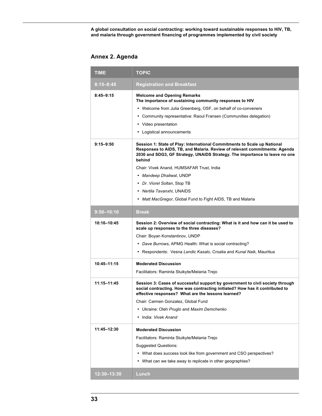## **Annex 2. Agenda**

| <b>TIME</b>     | <b>TOPIC</b>                                                                                                                                                                                                                                                                                                                                                                                                                                          |
|-----------------|-------------------------------------------------------------------------------------------------------------------------------------------------------------------------------------------------------------------------------------------------------------------------------------------------------------------------------------------------------------------------------------------------------------------------------------------------------|
| $8:15 - 8:45$   | <b>Registration and Breakfast</b>                                                                                                                                                                                                                                                                                                                                                                                                                     |
| $8:45 - 9:15$   | <b>Welcome and Opening Remarks</b><br>The importance of sustaining community responses to HIV<br>• Welcome from Julia Greenberg, OSF, on behalf of co-conveners<br>Community representative: Raoul Fransen (Communities delegation)<br>٠<br>• Video presentation<br>• Logistical announcements                                                                                                                                                        |
| $9:15 - 9:50$   | Session 1: State of Play: International Commitments to Scale up National<br>Responses to AIDS, TB, and Malaria. Review of relevant commitments: Agenda<br>2030 and SDG3, GF Strategy, UNAIDS Strategy. The importance to leave no one<br>behind<br>Chair: Vivek Anand, HUMSAFAR Trust, India<br>• Mandeep Dhaliwal, UNDP<br>• Dr. Viorel Soltan, Stop TB<br>• Nertila Tavanxhi, UNAIDS<br>• Matt MacGregor, Global Fund to Fight AIDS, TB and Malaria |
| $9:50 - 10:10$  | Break                                                                                                                                                                                                                                                                                                                                                                                                                                                 |
| 10:10-10:45     | Session 2: Overview of social contracting: What is it and how can it be used to<br>scale up responses to the three diseases?<br>Chair: Boyan Konstantinov, UNDP<br>• Dave Burrows, APMG Health: What is social contracting?<br>• Respondents: Vesna Lendic Kasalo, Croatia and Kunal Naik, Mauritius                                                                                                                                                  |
| $10:45 - 11:15$ | <b>Moderated Discussion</b><br>Facilitators: Raminta Stuikyte/Melania Trejo                                                                                                                                                                                                                                                                                                                                                                           |
| 11:15-11:45     | Session 3: Cases of successful support by government to civil society through<br>social contracting. How was contracting initiated? How has it contributed to<br>effective responses? What are the lessons learned?<br>Chair: Carmen Gonzalez, Global Fund<br>• Ukraine: Oleh Pruglo and Maxim Demchenko<br>India: Vivek Anand                                                                                                                        |
| 11:45-12:30     | <b>Moderated Discussion</b><br>Facilitators: Raminta Stuikyte/Melania Trejo<br><b>Suggested Questions:</b><br>• What does success look like from government and CSO perspectives?<br>• What can we take away to replicate in other geographies?                                                                                                                                                                                                       |
| 12:30-13:30     | Lunch                                                                                                                                                                                                                                                                                                                                                                                                                                                 |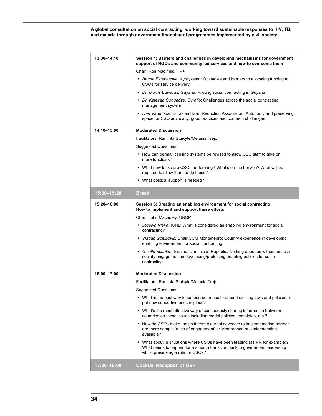| Chair: Ron MacInnis, HP+<br>• Batma Estebesova, Kyrgyzstan: Obstacles and barriers to allocating funding to<br>CSOs for service delivery<br>• Dr. Morris Edwards, Guyana: Piloting social contracting in Guyana<br>• Dr. Ketevan Goguadze, Curatio: Challenges across the social contracting<br>management system<br>• Ivan Varentsov, Eurasian Harm Reduction Association: Autonomy and preserving<br>space for CSO advocacy: good practices and common challenges<br>14:10-15:00<br><b>Moderated Discussion</b><br>Facilitators: Raminta Stuikyte/Melania Trejo<br><b>Suggested Questions:</b><br>• How can permit/licensing systems be revised to allow CSO staff to take on<br>more functions?<br>• What new tasks are CSOs performing? What's on the horizon? What will be<br>required to allow them to do these?<br>• What political support is needed?<br>15:00-15:20<br>Break<br>Session 5: Creating an enabling environment for social contracting:<br>15:20-16:00<br>How to implement and support these efforts<br>Chair: John Macauley, UNDP<br>Jocelyn Nieva, ICNL: What is considered an enabling environment for social<br>contracting?<br>• Vladan Golubovic, Chair CCM Montenegro: Country experience in developing<br>enabling environment for social contracting<br>• Giselle Scanlon, Insalud, Dominican Republic: Nothing about us without us: civil<br>society engagement in developing/protecting enabling policies for social<br>contracting<br>16:00-17:00<br><b>Moderated Discussion</b><br>Facilitators: Raminta Stuikyte/Melania Trejo<br><b>Suggested Questions:</b><br>• What is the best way to support countries to amend existing laws and policies or<br>put new supportive ones in place?<br>• What's the most effective way of continuously sharing information between<br>countries on these issues including model policies, templates, etc.?<br>• How do CSOs make the shift from external advocate to implementation partner -<br>are there sample 'rules of engagement' or Memoranda of Understanding<br>available?<br>What about in situations where CSOs have been leading (as PR for example)?<br>$\bullet$<br>What needs to happen for a smooth transition back to government leadership<br>whilst preserving a role for CSOs?<br>$17:30 - 19:00$<br><b>Cocktail Reception at OSF</b> | 13:30-14:10 | Session 4: Barriers and challenges in developing mechanisms for government<br>support of NGOs and community led services and how to overcome them |  |  |
|-----------------------------------------------------------------------------------------------------------------------------------------------------------------------------------------------------------------------------------------------------------------------------------------------------------------------------------------------------------------------------------------------------------------------------------------------------------------------------------------------------------------------------------------------------------------------------------------------------------------------------------------------------------------------------------------------------------------------------------------------------------------------------------------------------------------------------------------------------------------------------------------------------------------------------------------------------------------------------------------------------------------------------------------------------------------------------------------------------------------------------------------------------------------------------------------------------------------------------------------------------------------------------------------------------------------------------------------------------------------------------------------------------------------------------------------------------------------------------------------------------------------------------------------------------------------------------------------------------------------------------------------------------------------------------------------------------------------------------------------------------------------------------------------------------------------------------------------------------------------------------------------------------------------------------------------------------------------------------------------------------------------------------------------------------------------------------------------------------------------------------------------------------------------------------------------------------------------------------------------------------------------------------------------------------------------------------------|-------------|---------------------------------------------------------------------------------------------------------------------------------------------------|--|--|
|                                                                                                                                                                                                                                                                                                                                                                                                                                                                                                                                                                                                                                                                                                                                                                                                                                                                                                                                                                                                                                                                                                                                                                                                                                                                                                                                                                                                                                                                                                                                                                                                                                                                                                                                                                                                                                                                                                                                                                                                                                                                                                                                                                                                                                                                                                                                   |             |                                                                                                                                                   |  |  |
|                                                                                                                                                                                                                                                                                                                                                                                                                                                                                                                                                                                                                                                                                                                                                                                                                                                                                                                                                                                                                                                                                                                                                                                                                                                                                                                                                                                                                                                                                                                                                                                                                                                                                                                                                                                                                                                                                                                                                                                                                                                                                                                                                                                                                                                                                                                                   |             |                                                                                                                                                   |  |  |
|                                                                                                                                                                                                                                                                                                                                                                                                                                                                                                                                                                                                                                                                                                                                                                                                                                                                                                                                                                                                                                                                                                                                                                                                                                                                                                                                                                                                                                                                                                                                                                                                                                                                                                                                                                                                                                                                                                                                                                                                                                                                                                                                                                                                                                                                                                                                   |             |                                                                                                                                                   |  |  |
|                                                                                                                                                                                                                                                                                                                                                                                                                                                                                                                                                                                                                                                                                                                                                                                                                                                                                                                                                                                                                                                                                                                                                                                                                                                                                                                                                                                                                                                                                                                                                                                                                                                                                                                                                                                                                                                                                                                                                                                                                                                                                                                                                                                                                                                                                                                                   |             |                                                                                                                                                   |  |  |
|                                                                                                                                                                                                                                                                                                                                                                                                                                                                                                                                                                                                                                                                                                                                                                                                                                                                                                                                                                                                                                                                                                                                                                                                                                                                                                                                                                                                                                                                                                                                                                                                                                                                                                                                                                                                                                                                                                                                                                                                                                                                                                                                                                                                                                                                                                                                   |             |                                                                                                                                                   |  |  |
|                                                                                                                                                                                                                                                                                                                                                                                                                                                                                                                                                                                                                                                                                                                                                                                                                                                                                                                                                                                                                                                                                                                                                                                                                                                                                                                                                                                                                                                                                                                                                                                                                                                                                                                                                                                                                                                                                                                                                                                                                                                                                                                                                                                                                                                                                                                                   |             |                                                                                                                                                   |  |  |
|                                                                                                                                                                                                                                                                                                                                                                                                                                                                                                                                                                                                                                                                                                                                                                                                                                                                                                                                                                                                                                                                                                                                                                                                                                                                                                                                                                                                                                                                                                                                                                                                                                                                                                                                                                                                                                                                                                                                                                                                                                                                                                                                                                                                                                                                                                                                   |             |                                                                                                                                                   |  |  |
|                                                                                                                                                                                                                                                                                                                                                                                                                                                                                                                                                                                                                                                                                                                                                                                                                                                                                                                                                                                                                                                                                                                                                                                                                                                                                                                                                                                                                                                                                                                                                                                                                                                                                                                                                                                                                                                                                                                                                                                                                                                                                                                                                                                                                                                                                                                                   |             |                                                                                                                                                   |  |  |
|                                                                                                                                                                                                                                                                                                                                                                                                                                                                                                                                                                                                                                                                                                                                                                                                                                                                                                                                                                                                                                                                                                                                                                                                                                                                                                                                                                                                                                                                                                                                                                                                                                                                                                                                                                                                                                                                                                                                                                                                                                                                                                                                                                                                                                                                                                                                   |             |                                                                                                                                                   |  |  |
|                                                                                                                                                                                                                                                                                                                                                                                                                                                                                                                                                                                                                                                                                                                                                                                                                                                                                                                                                                                                                                                                                                                                                                                                                                                                                                                                                                                                                                                                                                                                                                                                                                                                                                                                                                                                                                                                                                                                                                                                                                                                                                                                                                                                                                                                                                                                   |             |                                                                                                                                                   |  |  |
|                                                                                                                                                                                                                                                                                                                                                                                                                                                                                                                                                                                                                                                                                                                                                                                                                                                                                                                                                                                                                                                                                                                                                                                                                                                                                                                                                                                                                                                                                                                                                                                                                                                                                                                                                                                                                                                                                                                                                                                                                                                                                                                                                                                                                                                                                                                                   |             |                                                                                                                                                   |  |  |
|                                                                                                                                                                                                                                                                                                                                                                                                                                                                                                                                                                                                                                                                                                                                                                                                                                                                                                                                                                                                                                                                                                                                                                                                                                                                                                                                                                                                                                                                                                                                                                                                                                                                                                                                                                                                                                                                                                                                                                                                                                                                                                                                                                                                                                                                                                                                   |             |                                                                                                                                                   |  |  |
|                                                                                                                                                                                                                                                                                                                                                                                                                                                                                                                                                                                                                                                                                                                                                                                                                                                                                                                                                                                                                                                                                                                                                                                                                                                                                                                                                                                                                                                                                                                                                                                                                                                                                                                                                                                                                                                                                                                                                                                                                                                                                                                                                                                                                                                                                                                                   |             |                                                                                                                                                   |  |  |
|                                                                                                                                                                                                                                                                                                                                                                                                                                                                                                                                                                                                                                                                                                                                                                                                                                                                                                                                                                                                                                                                                                                                                                                                                                                                                                                                                                                                                                                                                                                                                                                                                                                                                                                                                                                                                                                                                                                                                                                                                                                                                                                                                                                                                                                                                                                                   |             |                                                                                                                                                   |  |  |
|                                                                                                                                                                                                                                                                                                                                                                                                                                                                                                                                                                                                                                                                                                                                                                                                                                                                                                                                                                                                                                                                                                                                                                                                                                                                                                                                                                                                                                                                                                                                                                                                                                                                                                                                                                                                                                                                                                                                                                                                                                                                                                                                                                                                                                                                                                                                   |             |                                                                                                                                                   |  |  |
|                                                                                                                                                                                                                                                                                                                                                                                                                                                                                                                                                                                                                                                                                                                                                                                                                                                                                                                                                                                                                                                                                                                                                                                                                                                                                                                                                                                                                                                                                                                                                                                                                                                                                                                                                                                                                                                                                                                                                                                                                                                                                                                                                                                                                                                                                                                                   |             |                                                                                                                                                   |  |  |
|                                                                                                                                                                                                                                                                                                                                                                                                                                                                                                                                                                                                                                                                                                                                                                                                                                                                                                                                                                                                                                                                                                                                                                                                                                                                                                                                                                                                                                                                                                                                                                                                                                                                                                                                                                                                                                                                                                                                                                                                                                                                                                                                                                                                                                                                                                                                   |             |                                                                                                                                                   |  |  |
|                                                                                                                                                                                                                                                                                                                                                                                                                                                                                                                                                                                                                                                                                                                                                                                                                                                                                                                                                                                                                                                                                                                                                                                                                                                                                                                                                                                                                                                                                                                                                                                                                                                                                                                                                                                                                                                                                                                                                                                                                                                                                                                                                                                                                                                                                                                                   |             |                                                                                                                                                   |  |  |
|                                                                                                                                                                                                                                                                                                                                                                                                                                                                                                                                                                                                                                                                                                                                                                                                                                                                                                                                                                                                                                                                                                                                                                                                                                                                                                                                                                                                                                                                                                                                                                                                                                                                                                                                                                                                                                                                                                                                                                                                                                                                                                                                                                                                                                                                                                                                   |             |                                                                                                                                                   |  |  |
|                                                                                                                                                                                                                                                                                                                                                                                                                                                                                                                                                                                                                                                                                                                                                                                                                                                                                                                                                                                                                                                                                                                                                                                                                                                                                                                                                                                                                                                                                                                                                                                                                                                                                                                                                                                                                                                                                                                                                                                                                                                                                                                                                                                                                                                                                                                                   |             |                                                                                                                                                   |  |  |
|                                                                                                                                                                                                                                                                                                                                                                                                                                                                                                                                                                                                                                                                                                                                                                                                                                                                                                                                                                                                                                                                                                                                                                                                                                                                                                                                                                                                                                                                                                                                                                                                                                                                                                                                                                                                                                                                                                                                                                                                                                                                                                                                                                                                                                                                                                                                   |             |                                                                                                                                                   |  |  |
|                                                                                                                                                                                                                                                                                                                                                                                                                                                                                                                                                                                                                                                                                                                                                                                                                                                                                                                                                                                                                                                                                                                                                                                                                                                                                                                                                                                                                                                                                                                                                                                                                                                                                                                                                                                                                                                                                                                                                                                                                                                                                                                                                                                                                                                                                                                                   |             |                                                                                                                                                   |  |  |
|                                                                                                                                                                                                                                                                                                                                                                                                                                                                                                                                                                                                                                                                                                                                                                                                                                                                                                                                                                                                                                                                                                                                                                                                                                                                                                                                                                                                                                                                                                                                                                                                                                                                                                                                                                                                                                                                                                                                                                                                                                                                                                                                                                                                                                                                                                                                   |             |                                                                                                                                                   |  |  |
|                                                                                                                                                                                                                                                                                                                                                                                                                                                                                                                                                                                                                                                                                                                                                                                                                                                                                                                                                                                                                                                                                                                                                                                                                                                                                                                                                                                                                                                                                                                                                                                                                                                                                                                                                                                                                                                                                                                                                                                                                                                                                                                                                                                                                                                                                                                                   |             |                                                                                                                                                   |  |  |
|                                                                                                                                                                                                                                                                                                                                                                                                                                                                                                                                                                                                                                                                                                                                                                                                                                                                                                                                                                                                                                                                                                                                                                                                                                                                                                                                                                                                                                                                                                                                                                                                                                                                                                                                                                                                                                                                                                                                                                                                                                                                                                                                                                                                                                                                                                                                   |             |                                                                                                                                                   |  |  |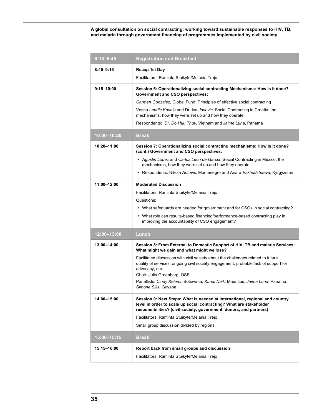| $8:15 - 8:45$  | <b>Registration and Breakfast</b>                                                                                                                                                                                          |  |  |  |
|----------------|----------------------------------------------------------------------------------------------------------------------------------------------------------------------------------------------------------------------------|--|--|--|
| $8:45 - 9:15$  | Recap 1st Day                                                                                                                                                                                                              |  |  |  |
|                | Facilitators: Raminta Stuikyte/Melania Trejo                                                                                                                                                                               |  |  |  |
| $9:15 - 10:00$ | Session 6: Operationalizing social contracting Mechanisms: How is it done?<br><b>Government and CSO perspectives:</b>                                                                                                      |  |  |  |
|                | Carmen Gonzalez, Global Fund: Principles of effective social contracting                                                                                                                                                   |  |  |  |
|                | Vesna Lendic Kasalo and Dr. Iva Jovovic: Social Contracting in Croatia: the<br>mechanisms, how they were set up and how they operate                                                                                       |  |  |  |
|                | Respondents: Dr. Do Huu Thuy, Vietnam and Jaime Luna, Panama                                                                                                                                                               |  |  |  |
| 10:00-10:20    | Break                                                                                                                                                                                                                      |  |  |  |
| 10:20-11:00    | Session 7: Operationalizing social contracting mechanisms: How is it done?<br>(cont.) Government and CSO perspectives:                                                                                                     |  |  |  |
|                | • Agustin Lopez and Carlos Leon de Garcia: Social Contracting in Mexico: the<br>mechanisms, how they were set up and how they operate                                                                                      |  |  |  |
|                | • Respondents: Nikola Antovic, Montenegro and Anara Eskhodzhaeva, Kyrgyzstan                                                                                                                                               |  |  |  |
| 11:00-12:00    | <b>Moderated Discussion</b>                                                                                                                                                                                                |  |  |  |
|                | Facilitators: Raminta Stuikyte/Melania Trejo                                                                                                                                                                               |  |  |  |
|                | Questions:                                                                                                                                                                                                                 |  |  |  |
|                | • What safeguards are needed for government and for CSOs in social contracting?                                                                                                                                            |  |  |  |
|                | • What role can results-based financing/performance-based contracting play in<br>improving the accountability of CSO engagement?                                                                                           |  |  |  |
| 12:00-13:00    | Lunch                                                                                                                                                                                                                      |  |  |  |
| 13:00-14:00    | Session 8: From External to Domestic Support of HIV, TB and malaria Services:<br>What might we gain and what might we lose?                                                                                                |  |  |  |
|                | Facilitated discussion with civil society about the challenges related to future<br>quality of services, ongoing civil society engagement, probable lack of support for<br>advocacy, etc.<br>Chair: Julia Greenberg, OSF   |  |  |  |
|                | Panellists: Cindy Kelemi, Botswana; Kunal Naik, Mauritius; Jaime Luna, Panama;<br>Simone Sills, Guyana                                                                                                                     |  |  |  |
| 14:00-15:00    | Session 9: Next Steps: What is needed at international, regional and country<br>level in order to scale up social contracting? What are stakeholder<br>responsibilities? (civil society, government, donors, and partners) |  |  |  |
|                | Facilitators: Raminta Stuikyte/Melania Trejo                                                                                                                                                                               |  |  |  |
|                | Small group discussion divided by regions                                                                                                                                                                                  |  |  |  |
| 15:00-15:15    | Break                                                                                                                                                                                                                      |  |  |  |
| 15:15-16:00    | Report back from small groups and discussion                                                                                                                                                                               |  |  |  |
|                | Facilitators: Raminta Stuikyte/Melania Trejo                                                                                                                                                                               |  |  |  |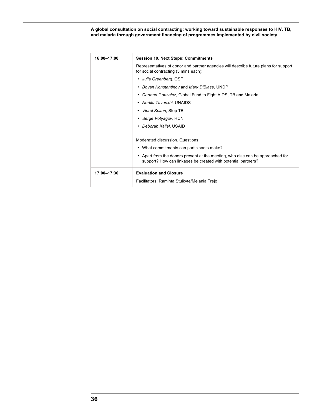| 16:00-17:00 | <b>Session 10. Next Steps: Commitments</b>                                                                                                      |  |  |
|-------------|-------------------------------------------------------------------------------------------------------------------------------------------------|--|--|
|             | Representatives of donor and partner agencies will describe future plans for support<br>for social contracting (5 mins each):                   |  |  |
|             | Julia Greenberg, OSF                                                                                                                            |  |  |
|             | • Boyan Konstantinov and Mark DiBiase, UNDP                                                                                                     |  |  |
|             | Carmen Gonzalez, Global Fund to Fight AIDS, TB and Malaria                                                                                      |  |  |
|             | • Nertila Tavanxhi, UNAIDS                                                                                                                      |  |  |
|             | • Viorel Soltan, Stop TB                                                                                                                        |  |  |
|             | • Serge Votyagov, RCN                                                                                                                           |  |  |
|             | Deborah Kaliel, USAID                                                                                                                           |  |  |
|             |                                                                                                                                                 |  |  |
|             | Moderated discussion, Questions:                                                                                                                |  |  |
|             | • What commitments can participants make?                                                                                                       |  |  |
|             | • Apart from the donors present at the meeting, who else can be approached for<br>support? How can linkages be created with potential partners? |  |  |
| 17:00-17:30 | <b>Evaluation and Closure</b>                                                                                                                   |  |  |
|             | Facilitators: Raminta Stuikyte/Melania Trejo                                                                                                    |  |  |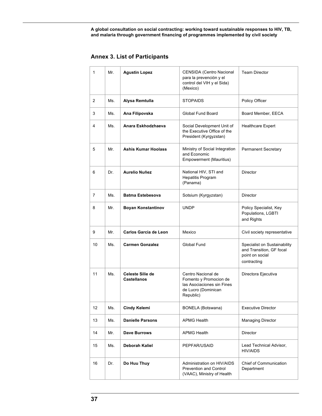**Annex 3. List of Participants**

| 1  | Mr. | <b>Agustin Lopez</b>                          | CENSIDA (Centro Nacional<br>para la prevención y el<br>control del VIH y el Sida)<br>(Mexico)                  | <b>Team Director</b>                                                                       |
|----|-----|-----------------------------------------------|----------------------------------------------------------------------------------------------------------------|--------------------------------------------------------------------------------------------|
| 2  | Ms. | Alysa Remtulla                                | STOPAIDS                                                                                                       | Policy Officer                                                                             |
| 3  | Ms. | Ana Filipovska                                | Global Fund Board                                                                                              | Board Member, EECA                                                                         |
| 4  | Ms. | Anara Eskhodzhaeva                            | Social Development Unit of<br>the Executive Office of the<br>President (Kyrgyzstan)                            | <b>Healthcare Expert</b>                                                                   |
| 5  | Mr. | <b>Ashis Kumar Hoolass</b>                    | Ministry of Social Integration<br>and Economic<br>Empowerment (Mauritius)                                      | <b>Permanent Secretary</b>                                                                 |
| 6  | Dr. | Aurelio Nuñez                                 | National HIV, STI and<br><b>Hepatitis Program</b><br>(Panama)                                                  | <b>Director</b>                                                                            |
| 7  | Ms. | <b>Batma Estebesova</b>                       | Sotsium (Kyrgyzstan)                                                                                           | Director                                                                                   |
| 8  | Mr. | <b>Boyan Konstantinov</b>                     | <b>UNDP</b>                                                                                                    | Policy Specialist, Key<br>Populations, LGBTI<br>and Rights                                 |
| 9  | Mr. | <b>Carlos Garcia de Leon</b>                  | Mexico                                                                                                         | Civil society representative                                                               |
| 10 | Ms. | <b>Carmen Gonzalez</b>                        | Global Fund                                                                                                    | Specialist on Sustainability<br>and Transition, GF focal<br>point on social<br>contracting |
| 11 | Ms. | <b>Celeste Silie de</b><br><b>Castellanos</b> | Centro Nacional de<br>Fomento y Promocion de<br>las Asociaciones sin Fines<br>de Lucro (Dominican<br>Republic) | Directora Ejecutiva                                                                        |
| 12 | Ms. | <b>Cindy Kelemi</b>                           | BONELA (Botswana)                                                                                              | <b>Executive Director</b>                                                                  |
| 13 | Ms. | <b>Danielle Parsons</b>                       | <b>APMG Health</b>                                                                                             | <b>Managing Director</b>                                                                   |
| 14 | Mr. | <b>Dave Burrows</b>                           | <b>APMG Health</b>                                                                                             | Director                                                                                   |
| 15 | Ms. | Deborah Kaliel                                | PEPFAR/USAID                                                                                                   | Lead Technical Advisor,<br><b>HIV/AIDS</b>                                                 |
| 16 | Dr. | Do Huu Thuy                                   | Administration on HIV/AIDS<br>Prevention and Control<br>(VAAC), Ministry of Health                             | Chief of Communication<br>Department                                                       |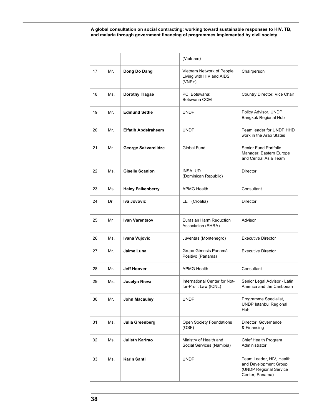|    |     |                            | (Vietnam)                                                         |                                                                                                |
|----|-----|----------------------------|-------------------------------------------------------------------|------------------------------------------------------------------------------------------------|
| 17 | Mr. | Dong Do Dang               | Vietnam Network of People<br>Living with HIV and AIDS<br>$(VNP+)$ | Chairperson                                                                                    |
| 18 | Ms. | <b>Dorothy Tlagae</b>      | PCI Botswana;<br>Botswana CCM                                     | Country Director; Vice Chair                                                                   |
| 19 | Mr. | <b>Edmund Settle</b>       | <b>UNDP</b>                                                       | Policy Advisor, UNDP<br>Bangkok Regional Hub                                                   |
| 20 | Mr. | <b>Elfatih Abdelraheem</b> | <b>UNDP</b>                                                       | Team leader for UNDP HHD<br>work in the Arab States                                            |
| 21 | Mr. | George Sakvarelidze        | Global Fund                                                       | Senior Fund Portfolio<br>Manager, Eastern Europe<br>and Central Asia Team                      |
| 22 | Ms. | <b>Giselle Scanlon</b>     | <b>INSALUD</b><br>(Dominican Republic)                            | Director                                                                                       |
| 23 | Ms. | <b>Haley Falkenberry</b>   | <b>APMG Health</b>                                                | Consultant                                                                                     |
| 24 | Dr. | Iva Jovovic                | LET (Croatia)                                                     | Director                                                                                       |
| 25 | Mr  | <b>Ivan Varentsov</b>      | Eurasian Harm Reduction<br>Association (EHRA)                     | Advisor                                                                                        |
| 26 | Ms. | Ivana Vujovic              | Juventas (Montenegro)                                             | <b>Executive Director</b>                                                                      |
| 27 | Mr. | Jaime Luna                 | Grupo Génesis Panamá<br>Positivo (Panama)                         | <b>Executive Director</b>                                                                      |
| 28 | Mr. | <b>Jeff Hoover</b>         | <b>APMG Health</b>                                                | Consultant                                                                                     |
| 29 | Ms. | Jocelyn Nieva              | International Center for Not-<br>for-Profit Law (ICNL)            | Senior Legal Advisor - Latin<br>America and the Caribbean                                      |
| 30 | Mr. | John Macauley              | <b>UNDP</b>                                                       | Programme Specialist,<br><b>UNDP Istanbul Regional</b><br>Hub                                  |
| 31 | Ms. | Julia Greenberg            | Open Society Foundations<br>(OSF)                                 | Director, Governance<br>& Financing                                                            |
| 32 | Ms. | Julieth Karirao            | Ministry of Health and<br>Social Services (Namibia)               | Chief Health Program<br>Administrator                                                          |
| 33 | Ms. | <b>Karin Santi</b>         | <b>UNDP</b>                                                       | Team Leader, HIV, Health<br>and Development Group<br>(UNDP Regional Service<br>Center, Panama) |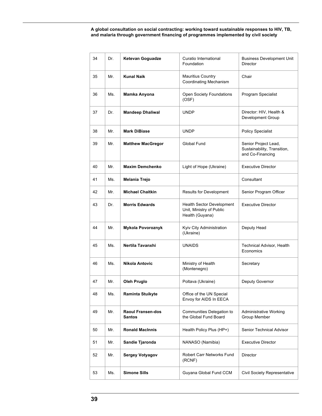| 34 | Dr. | <b>Ketevan Goguadze</b>            | Curatio International<br>Foundation                                      | <b>Business Development Unit</b><br>Director                            |
|----|-----|------------------------------------|--------------------------------------------------------------------------|-------------------------------------------------------------------------|
| 35 | Mr. | <b>Kunal Naik</b>                  | <b>Mauritius Country</b><br><b>Coordinating Mechanism</b>                | Chair                                                                   |
| 36 | Ms. | Mamka Anyona                       | Open Society Foundations<br>(OSF)                                        | Program Specialist                                                      |
| 37 | Dr. | <b>Mandeep Dhaliwal</b>            | <b>UNDP</b>                                                              | Director: HIV, Health &<br>Development Group                            |
| 38 | Mr. | <b>Mark DiBiase</b>                | <b>UNDP</b>                                                              | <b>Policy Specialist</b>                                                |
| 39 | Mr. | <b>Matthew MacGregor</b>           | Global Fund                                                              | Senior Project Lead,<br>Sustainability, Transition,<br>and Co-Financing |
| 40 | Mr. | <b>Maxim Demchenko</b>             | Light of Hope (Ukraine)                                                  | <b>Executive Director</b>                                               |
| 41 | Ms. | Melania Trejo                      |                                                                          | Consultant                                                              |
| 42 | Mr. | <b>Michael Chaitkin</b>            | Results for Development                                                  | Senior Program Officer                                                  |
| 43 | Dr. | <b>Morris Edwards</b>              | Health Sector Development<br>Unit, Ministry of Public<br>Health (Guyana) | <b>Executive Director</b>                                               |
| 44 | Mr. | <b>Mykola Povoroznyk</b>           | Kyiv City Administration<br>(Ukraine)                                    | Deputy Head                                                             |
| 45 | Ms. | Nertila Tavanxhi                   | <b>UNAIDS</b>                                                            | Technical Advisor, Health<br>Economics                                  |
| 46 | Ms. | Nikola Antovic                     | Ministry of Health<br>(Montenegro)                                       | Secretary                                                               |
| 47 | Mr. | Oleh Pruglo                        | Poltava (Ukraine)                                                        | Deputy Governor                                                         |
| 48 | Ms. | Raminta Stuikyte                   | Office of the UN Special<br>Envoy for AIDS In EECA                       |                                                                         |
| 49 | Mr. | <b>Raoul Fransen-dos</b><br>Santos | Communities Delegation to<br>the Global Fund Board                       | Administrative Working<br>Group Member                                  |
| 50 | Mr. | <b>Ronald MacInnis</b>             | Health Policy Plus (HP+)                                                 | Senior Technical Advisor                                                |
| 51 | Mr. | Sandie Tjaronda                    | NANASO (Namibia)                                                         | <b>Executive Director</b>                                               |
| 52 | Mr. | <b>Sergey Votyagov</b>             | <b>Robert Carr Networks Fund</b><br>(RCNF)                               | Director                                                                |
| 53 | Ms. | <b>Simone Sills</b>                | Guyana Global Fund CCM                                                   | Civil Society Representative                                            |